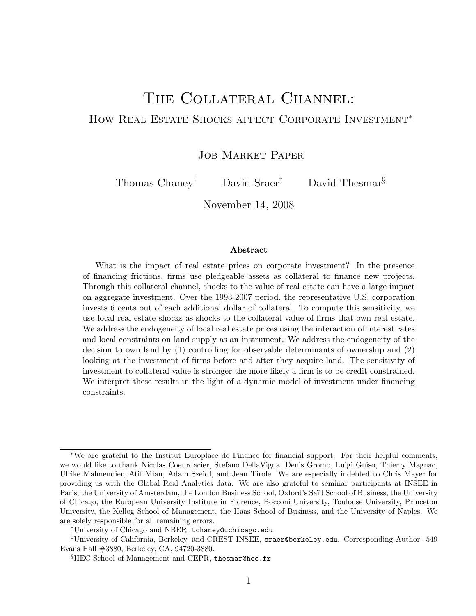# The Collateral Channel: HOW REAL ESTATE SHOCKS AFFECT CORPORATE INVESTMENT<sup>\*</sup>

JOB MARKET PAPER

Thomas Chaney<sup>†</sup> David Sraer<sup>‡</sup> David Thesmar<sup>§</sup>

November 14, 2008

#### Abstract

What is the impact of real estate prices on corporate investment? In the presence of financing frictions, firms use pledgeable assets as collateral to finance new projects. Through this collateral channel, shocks to the value of real estate can have a large impact on aggregate investment. Over the 1993-2007 period, the representative U.S. corporation invests 6 cents out of each additional dollar of collateral. To compute this sensitivity, we use local real estate shocks as shocks to the collateral value of firms that own real estate. We address the endogeneity of local real estate prices using the interaction of interest rates and local constraints on land supply as an instrument. We address the endogeneity of the decision to own land by (1) controlling for observable determinants of ownership and (2) looking at the investment of firms before and after they acquire land. The sensitivity of investment to collateral value is stronger the more likely a firm is to be credit constrained. We interpret these results in the light of a dynamic model of investment under financing constraints.

<sup>∗</sup>We are grateful to the Institut Europlace de Finance for financial support. For their helpful comments, we would like to thank Nicolas Coeurdacier, Stefano DellaVigna, Denis Gromb, Luigi Guiso, Thierry Magnac, Ulrike Malmendier, Atif Mian, Adam Szeidl, and Jean Tirole. We are especially indebted to Chris Mayer for providing us with the Global Real Analytics data. We are also grateful to seminar participants at INSEE in Paris, the University of Amsterdam, the London Business School, Oxford's Saïd School of Business, the University of Chicago, the European University Institute in Florence, Bocconi University, Toulouse University, Princeton University, the Kellog School of Management, the Haas School of Business, and the University of Naples. We are solely responsible for all remaining errors.

<sup>†</sup>University of Chicago and NBER, tchaney@uchicago.edu

<sup>‡</sup>University of California, Berkeley, and CREST-INSEE, sraer@berkeley.edu. Corresponding Author: 549 Evans Hall #3880, Berkeley, CA, 94720-3880.

<sup>§</sup>HEC School of Management and CEPR, thesmar@hec.fr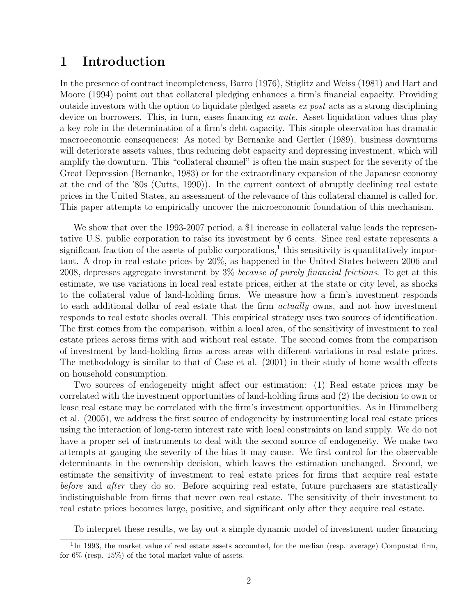# 1 Introduction

In the presence of contract incompleteness, Barro (1976), Stiglitz and Weiss (1981) and Hart and Moore (1994) point out that collateral pledging enhances a firm's financial capacity. Providing outside investors with the option to liquidate pledged assets ex post acts as a strong disciplining device on borrowers. This, in turn, eases financing  $ex$  ante. Asset liquidation values thus play a key role in the determination of a firm's debt capacity. This simple observation has dramatic macroeconomic consequences: As noted by Bernanke and Gertler (1989), business downturns will deteriorate assets values, thus reducing debt capacity and depressing investment, which will amplify the downturn. This "collateral channel" is often the main suspect for the severity of the Great Depression (Bernanke, 1983) or for the extraordinary expansion of the Japanese economy at the end of the '80s (Cutts, 1990)). In the current context of abruptly declining real estate prices in the United States, an assessment of the relevance of this collateral channel is called for. This paper attempts to empirically uncover the microeconomic foundation of this mechanism.

We show that over the 1993-2007 period, a \$1 increase in collateral value leads the representative U.S. public corporation to raise its investment by 6 cents. Since real estate represents a significant fraction of the assets of public corporations,<sup>1</sup> this sensitivity is quantitatively important. A drop in real estate prices by 20%, as happened in the United States between 2006 and 2008, depresses aggregate investment by  $3\%$  because of purely financial frictions. To get at this estimate, we use variations in local real estate prices, either at the state or city level, as shocks to the collateral value of land-holding firms. We measure how a firm's investment responds to each additional dollar of real estate that the firm *actually* owns, and not how investment responds to real estate shocks overall. This empirical strategy uses two sources of identification. The first comes from the comparison, within a local area, of the sensitivity of investment to real estate prices across firms with and without real estate. The second comes from the comparison of investment by land-holding firms across areas with different variations in real estate prices. The methodology is similar to that of Case et al. (2001) in their study of home wealth effects on household consumption.

Two sources of endogeneity might affect our estimation: (1) Real estate prices may be correlated with the investment opportunities of land-holding firms and (2) the decision to own or lease real estate may be correlated with the firm's investment opportunities. As in Himmelberg et al. (2005), we address the first source of endogeneity by instrumenting local real estate prices using the interaction of long-term interest rate with local constraints on land supply. We do not have a proper set of instruments to deal with the second source of endogeneity. We make two attempts at gauging the severity of the bias it may cause. We first control for the observable determinants in the ownership decision, which leaves the estimation unchanged. Second, we estimate the sensitivity of investment to real estate prices for firms that acquire real estate before and after they do so. Before acquiring real estate, future purchasers are statistically indistinguishable from firms that never own real estate. The sensitivity of their investment to real estate prices becomes large, positive, and significant only after they acquire real estate.

To interpret these results, we lay out a simple dynamic model of investment under financing

<sup>&</sup>lt;sup>1</sup>In 1993, the market value of real estate assets accounted, for the median (resp. average) Compustat firm, for 6% (resp. 15%) of the total market value of assets.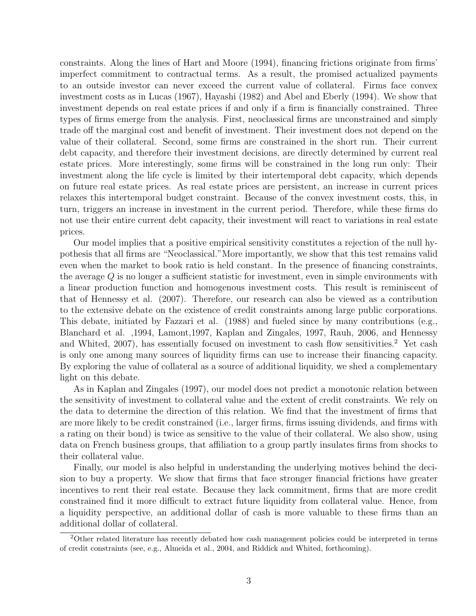constraints. Along the lines of Hart and Moore (1994), financing frictions originate from firms' imperfect commitment to contractual terms. As a result, the promised actualized payments to an outside investor can never exceed the current value of collateral. Firms face convex investment costs as in Lucas (1967), Hayashi (1982) and Abel and Eberly (1994). We show that investment depends on real estate prices if and only if a firm is financially constrained. Three types of firms emerge from the analysis. First, neoclassical firms are unconstrained and simply trade off the marginal cost and benefit of investment. Their investment does not depend on the value of their collateral. Second, some firms are constrained in the short run. Their current debt capacity, and therefore their investment decisions, are directly determined by current real estate prices. More interestingly, some firms will be constrained in the long run only: Their investment along the life cycle is limited by their intertemporal debt capacity, which depends on future real estate prices. As real estate prices are persistent, an increase in current prices relaxes this intertemporal budget constraint. Because of the convex investment costs, this, in turn, triggers an increase in investment in the current period. Therefore, while these firms do not use their entire current debt capacity, their investment will react to variations in real estate prices.

Our model implies that a positive empirical sensitivity constitutes a rejection of the null hypothesis that all firms are "Neoclassical."More importantly, we show that this test remains valid even when the market to book ratio is held constant. In the presence of financing constraints, the average  $Q$  is no longer a sufficient statistic for investment, even in simple environments with a linear production function and homogenous investment costs. This result is reminiscent of that of Hennessy et al. (2007). Therefore, our research can also be viewed as a contribution to the extensive debate on the existence of credit constraints among large public corporations. This debate, initiated by Fazzari et al. (1988) and fueled since by many contributions (e.g., Blanchard et al. ,1994, Lamont,1997, Kaplan and Zingales, 1997, Rauh, 2006, and Hennessy and Whited,  $2007$ , has essentially focused on investment to cash flow sensitivities.<sup>2</sup> Yet cash is only one among many sources of liquidity firms can use to increase their financing capacity. By exploring the value of collateral as a source of additional liquidity, we shed a complementary light on this debate.

As in Kaplan and Zingales (1997), our model does not predict a monotonic relation between the sensitivity of investment to collateral value and the extent of credit constraints. We rely on the data to determine the direction of this relation. We find that the investment of firms that are more likely to be credit constrained (i.e., larger firms, firms issuing dividends, and firms with a rating on their bond) is twice as sensitive to the value of their collateral. We also show, using data on French business groups, that affiliation to a group partly insulates firms from shocks to their collateral value.

Finally, our model is also helpful in understanding the underlying motives behind the decision to buy a property. We show that firms that face stronger financial frictions have greater incentives to rent their real estate. Because they lack commitment, firms that are more credit constrained find it more difficult to extract future liquidity from collateral value. Hence, from a liquidity perspective, an additional dollar of cash is more valuable to these firms than an additional dollar of collateral.

<sup>&</sup>lt;sup>2</sup>Other related literature has recently debated how cash management policies could be interpreted in terms of credit constraints (see, e.g., Almeida et al., 2004, and Riddick and Whited, forthcoming).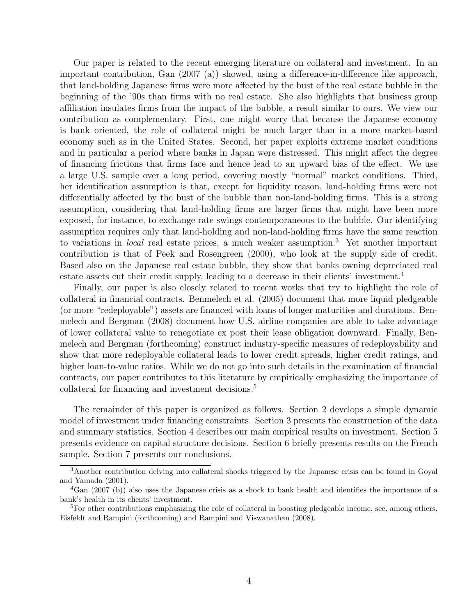Our paper is related to the recent emerging literature on collateral and investment. In an important contribution, Gan (2007 (a)) showed, using a difference-in-difference like approach, that land-holding Japanese firms were more affected by the bust of the real estate bubble in the beginning of the '90s than firms with no real estate. She also highlights that business group affiliation insulates firms from the impact of the bubble, a result similar to ours. We view our contribution as complementary. First, one might worry that because the Japanese economy is bank oriented, the role of collateral might be much larger than in a more market-based economy such as in the United States. Second, her paper exploits extreme market conditions and in particular a period where banks in Japan were distressed. This might affect the degree of financing frictions that firms face and hence lead to an upward bias of the effect. We use a large U.S. sample over a long period, covering mostly "normal" market conditions. Third, her identification assumption is that, except for liquidity reason, land-holding firms were not differentially affected by the bust of the bubble than non-land-holding firms. This is a strong assumption, considering that land-holding firms are larger firms that might have been more exposed, for instance, to exchange rate swings contemporaneous to the bubble. Our identifying assumption requires only that land-holding and non-land-holding firms have the same reaction to variations in *local* real estate prices, a much weaker assumption.<sup>3</sup> Yet another important contribution is that of Peek and Rosengreen (2000), who look at the supply side of credit. Based also on the Japanese real estate bubble, they show that banks owning depreciated real estate assets cut their credit supply, leading to a decrease in their clients' investment.<sup>4</sup>

Finally, our paper is also closely related to recent works that try to highlight the role of collateral in financial contracts. Benmelech et al. (2005) document that more liquid pledgeable (or more "redeployable") assets are financed with loans of longer maturities and durations. Benmelech and Bergman (2008) document how U.S. airline companies are able to take advantage of lower collateral value to renegotiate ex post their lease obligation downward. Finally, Benmelech and Bergman (forthcoming) construct industry-specific measures of redeployability and show that more redeployable collateral leads to lower credit spreads, higher credit ratings, and higher loan-to-value ratios. While we do not go into such details in the examination of financial contracts, our paper contributes to this literature by empirically emphasizing the importance of collateral for financing and investment decisions.<sup>5</sup>

The remainder of this paper is organized as follows. Section 2 develops a simple dynamic model of investment under financing constraints. Section 3 presents the construction of the data and summary statistics. Section 4 describes our main empirical results on investment. Section 5 presents evidence on capital structure decisions. Section 6 briefly presents results on the French sample. Section 7 presents our conclusions.

<sup>3</sup>Another contribution delving into collateral shocks triggered by the Japanese crisis can be found in Goyal and Yamada (2001).

<sup>&</sup>lt;sup>4</sup>Gan (2007 (b)) also uses the Japanese crisis as a shock to bank health and identifies the importance of a bank's health in its clients' investment.

<sup>&</sup>lt;sup>5</sup>For other contributions emphasizing the role of collateral in boosting pledgeable income, see, among others, Eisfeldt and Rampini (forthcoming) and Rampini and Viswanathan (2008).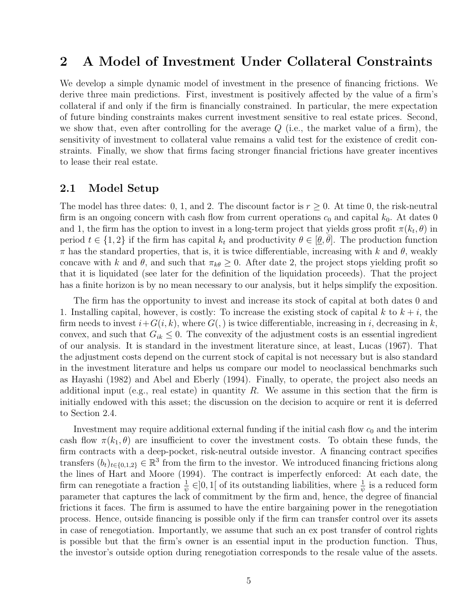# 2 A Model of Investment Under Collateral Constraints

We develop a simple dynamic model of investment in the presence of financing frictions. We derive three main predictions. First, investment is positively affected by the value of a firm's collateral if and only if the firm is financially constrained. In particular, the mere expectation of future binding constraints makes current investment sensitive to real estate prices. Second, we show that, even after controlling for the average  $Q$  (i.e., the market value of a firm), the sensitivity of investment to collateral value remains a valid test for the existence of credit constraints. Finally, we show that firms facing stronger financial frictions have greater incentives to lease their real estate.

### 2.1 Model Setup

The model has three dates: 0, 1, and 2. The discount factor is  $r \geq 0$ . At time 0, the risk-neutral firm is an ongoing concern with cash flow from current operations  $c_0$  and capital  $k_0$ . At dates 0 and 1, the firm has the option to invest in a long-term project that yields gross profit  $\pi(k_t, \theta)$  in period  $t \in \{1,2\}$  if the firm has capital  $k_t$  and productivity  $\theta \in [\underline{\theta}, \overline{\theta}]$ . The production function  $\pi$  has the standard properties, that is, it is twice differentiable, increasing with k and  $\theta$ , weakly concave with k and  $\theta$ , and such that  $\pi_{k\theta} \geq 0$ . After date 2, the project stops yielding profit so that it is liquidated (see later for the definition of the liquidation proceeds). That the project has a finite horizon is by no mean necessary to our analysis, but it helps simplify the exposition.

The firm has the opportunity to invest and increase its stock of capital at both dates 0 and 1. Installing capital, however, is costly: To increase the existing stock of capital k to  $k + i$ , the firm needs to invest  $i+G(i, k)$ , where  $G(j)$  is twice differentiable, increasing in i, decreasing in k, convex, and such that  $G_{ik} \leq 0$ . The convexity of the adjustment costs is an essential ingredient of our analysis. It is standard in the investment literature since, at least, Lucas (1967). That the adjustment costs depend on the current stock of capital is not necessary but is also standard in the investment literature and helps us compare our model to neoclassical benchmarks such as Hayashi (1982) and Abel and Eberly (1994). Finally, to operate, the project also needs an additional input (e.g., real estate) in quantity R. We assume in this section that the firm is initially endowed with this asset; the discussion on the decision to acquire or rent it is deferred to Section 2.4.

Investment may require additional external funding if the initial cash flow  $c_0$  and the interim cash flow  $\pi(k_1, \theta)$  are insufficient to cover the investment costs. To obtain these funds, the firm contracts with a deep-pocket, risk-neutral outside investor. A financing contract specifies transfers  $(b_t)_{t\in\{0,1,2\}} \in \mathbb{R}^3$  from the firm to the investor. We introduced financing frictions along the lines of Hart and Moore (1994). The contract is imperfectly enforced: At each date, the firm can renegotiate a fraction  $\frac{1}{\psi} \in ]0,1[$  of its outstanding liabilities, where  $\frac{1}{\psi}$  is a reduced form parameter that captures the lack of commitment by the firm and, hence, the degree of financial frictions it faces. The firm is assumed to have the entire bargaining power in the renegotiation process. Hence, outside financing is possible only if the firm can transfer control over its assets in case of renegotiation. Importantly, we assume that such an ex post transfer of control rights is possible but that the firm's owner is an essential input in the production function. Thus, the investor's outside option during renegotiation corresponds to the resale value of the assets.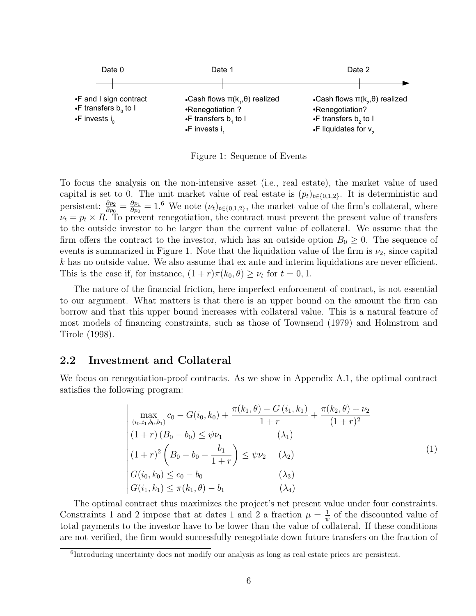

Figure 1: Sequence of Events

To focus the analysis on the non-intensive asset (i.e., real estate), the market value of used capital is set to 0. The unit market value of real estate is  $(p_t)_{t\in\{0,1,2\}}$ . It is deterministic and persistent:  $\frac{\partial p_2}{\partial p_0} = \frac{\partial p_1}{\partial p_0}$  $\frac{\partial p_1}{\partial p_0} = 1.6$  We note  $(\nu_t)_{t \in \{0,1,2\}}$ , the market value of the firm's collateral, where  $\nu_t = p_t \times R$ . To prevent renegotiation, the contract must prevent the present value of transfers to the outside investor to be larger than the current value of collateral. We assume that the firm offers the contract to the investor, which has an outside option  $B_0 \geq 0$ . The sequence of events is summarized in Figure 1. Note that the liquidation value of the firm is  $\nu_2$ , since capital  $k$  has no outside value. We also assume that ex ante and interim liquidations are never efficient. This is the case if, for instance,  $(1+r)\pi(k_0, \theta) \geq \nu_t$  for  $t = 0, 1$ .

The nature of the financial friction, here imperfect enforcement of contract, is not essential to our argument. What matters is that there is an upper bound on the amount the firm can borrow and that this upper bound increases with collateral value. This is a natural feature of most models of financing constraints, such as those of Townsend (1979) and Holmstrom and Tirole (1998).

# 2.2 Investment and Collateral

We focus on renegotiation-proof contracts. As we show in Appendix A.1, the optimal contract satisfies the following program:

$$
\begin{vmatrix}\n\max_{(i_0, i_1, b_0, b_1)} c_0 - G(i_0, k_0) + \frac{\pi(k_1, \theta) - G(i_1, k_1)}{1 + r} + \frac{\pi(k_2, \theta) + \nu_2}{(1 + r)^2} \\
(1 + r)(B_0 - b_0) \le \psi \nu_1 & (\lambda_1) \\
(1 + r)^2 \left(B_0 - b_0 - \frac{b_1}{1 + r}\right) \le \psi \nu_2 & (\lambda_2) \\
G(i_0, k_0) \le c_0 - b_0 & (\lambda_3) \\
G(i_1, k_1) \le \pi(k_1, \theta) - b_1 & (\lambda_4)\n\end{vmatrix}
$$
\n(1)

The optimal contract thus maximizes the project's net present value under four constraints. Constraints 1 and 2 impose that at dates 1 and 2 a fraction  $\mu = \frac{1}{\psi}$  $\frac{1}{\psi}$  of the discounted value of total payments to the investor have to be lower than the value of collateral. If these conditions are not verified, the firm would successfully renegotiate down future transfers on the fraction of

<sup>&</sup>lt;sup>6</sup>Introducing uncertainty does not modify our analysis as long as real estate prices are persistent.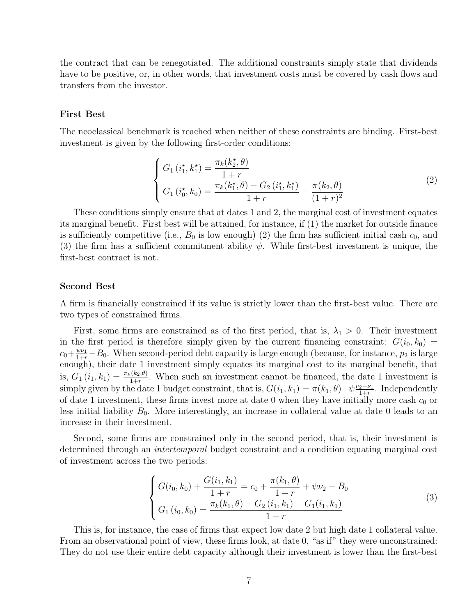the contract that can be renegotiated. The additional constraints simply state that dividends have to be positive, or, in other words, that investment costs must be covered by cash flows and transfers from the investor.

#### First Best

The neoclassical benchmark is reached when neither of these constraints are binding. First-best investment is given by the following first-order conditions:

$$
\begin{cases}\nG_1(i_1^*, k_1^*) = \frac{\pi_k(k_2^*, \theta)}{1+r} \\
G_1(i_0^*, k_0) = \frac{\pi_k(k_1^*, \theta) - G_2(i_1^*, k_1^*)}{1+r} + \frac{\pi(k_2, \theta)}{(1+r)^2}\n\end{cases} (2)
$$

These conditions simply ensure that at dates 1 and 2, the marginal cost of investment equates its marginal benefit. First best will be attained, for instance, if (1) the market for outside finance is sufficiently competitive (i.e.,  $B_0$  is low enough) (2) the firm has sufficient initial cash  $c_0$ , and (3) the firm has a sufficient commitment ability  $\psi$ . While first-best investment is unique, the first-best contract is not.

#### Second Best

A firm is financially constrained if its value is strictly lower than the first-best value. There are two types of constrained firms.

First, some firms are constrained as of the first period, that is,  $\lambda_1 > 0$ . Their investment in the first period is therefore simply given by the current financing constraint:  $G(i_0, k_0)$  =  $c_0+\frac{\psi\nu_1}{1+r}-B_0$ . When second-period debt capacity is large enough (because, for instance,  $p_2$  is large enough), their date 1 investment simply equates its marginal cost to its marginal benefit, that is,  $G_1(i_1, k_1) = \frac{\pi_k(k_2,\theta)}{1+r}$ . When such an investment cannot be financed, the date 1 investment is simply given by the date 1 budget constraint, that is,  $G(i_1, k_1) = \pi(k_1, \theta) + \psi \frac{\nu_2 - \nu_1}{1 + r}$  $rac{2-\nu_1}{1+r}$ . Independently of date 1 investment, these firms invest more at date 0 when they have initially more cash  $c_0$  or less initial liability  $B_0$ . More interestingly, an increase in collateral value at date 0 leads to an increase in their investment.

Second, some firms are constrained only in the second period, that is, their investment is determined through an *intertemporal* budget constraint and a condition equating marginal cost of investment across the two periods:

$$
\begin{cases}\nG(i_0, k_0) + \frac{G(i_1, k_1)}{1+r} = c_0 + \frac{\pi(k_1, \theta)}{1+r} + \psi \nu_2 - B_0 \\
G_1(i_0, k_0) = \frac{\pi_k(k_1, \theta) - G_2(i_1, k_1) + G_1(i_1, k_1)}{1+r}\n\end{cases}
$$
\n(3)

This is, for instance, the case of firms that expect low date 2 but high date 1 collateral value. From an observational point of view, these firms look, at date 0, "as if" they were unconstrained: They do not use their entire debt capacity although their investment is lower than the first-best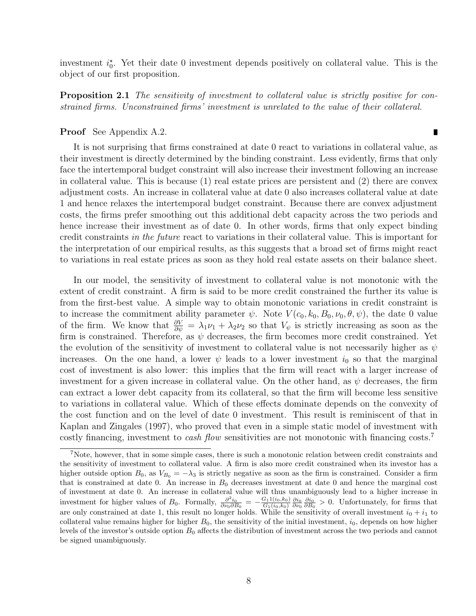investment  $i_0^*$ . Yet their date 0 investment depends positively on collateral value. This is the object of our first proposition.

**Proposition 2.1** The sensitivity of investment to collateral value is strictly positive for constrained firms. Unconstrained firms' investment is unrelated to the value of their collateral.

#### Proof See Appendix A.2.

It is not surprising that firms constrained at date 0 react to variations in collateral value, as their investment is directly determined by the binding constraint. Less evidently, firms that only face the intertemporal budget constraint will also increase their investment following an increase in collateral value. This is because (1) real estate prices are persistent and (2) there are convex adjustment costs. An increase in collateral value at date 0 also increases collateral value at date 1 and hence relaxes the intertemporal budget constraint. Because there are convex adjustment costs, the firms prefer smoothing out this additional debt capacity across the two periods and hence increase their investment as of date 0. In other words, firms that only expect binding credit constraints in the future react to variations in their collateral value. This is important for the interpretation of our empirical results, as this suggests that a broad set of firms might react to variations in real estate prices as soon as they hold real estate assets on their balance sheet.

In our model, the sensitivity of investment to collateral value is not monotonic with the extent of credit constraint. A firm is said to be more credit constrained the further its value is from the first-best value. A simple way to obtain monotonic variations in credit constraint is to increase the commitment ability parameter  $\psi$ . Note  $V(c_0, k_0, B_0, \nu_0, \theta, \psi)$ , the date 0 value of the firm. We know that  $\frac{\partial V}{\partial \psi} = \lambda_1 \nu_1 + \lambda_2 \nu_2$  so that  $V_{\psi}$  is strictly increasing as soon as the firm is constrained. Therefore, as  $\psi$  decreases, the firm becomes more credit constrained. Yet the evolution of the sensitivity of investment to collateral value is not necessarily higher as  $\psi$ increases. On the one hand, a lower  $\psi$  leads to a lower investment  $i_0$  so that the marginal cost of investment is also lower: this implies that the firm will react with a larger increase of investment for a given increase in collateral value. On the other hand, as  $\psi$  decreases, the firm can extract a lower debt capacity from its collateral, so that the firm will become less sensitive to variations in collateral value. Which of these effects dominate depends on the convexity of the cost function and on the level of date 0 investment. This result is reminiscent of that in Kaplan and Zingales (1997), who proved that even in a simple static model of investment with costly financing, investment to *cash flow* sensitivities are not monotonic with financing costs.<sup>7</sup>

 $\blacksquare$ 

<sup>7</sup>Note, however, that in some simple cases, there is such a monotonic relation between credit constraints and the sensitivity of investment to collateral value. A firm is also more credit constrained when its investor has a higher outside option  $B_0$ , as  $V_{B_0} = -\lambda_3$  is strictly negative as soon as the firm is constrained. Consider a firm that is constrained at date 0. An increase in  $B_0$  decreases investment at date 0 and hence the marginal cost of investment at date 0. An increase in collateral value will thus unambiguously lead to a higher increase in investment for higher values of  $B_0$ . Formally,  $\frac{\partial^2 i_0}{\partial \nu_0 \partial B_0} = -\frac{G_1 1(i_0, k_0)}{G_1(i_0, k_0)}$  $\frac{G_1 1(i_0, k_0)}{G_1(i_0, k_0)} \frac{\partial i_0}{\partial \nu_0} \frac{\partial i_0}{\partial B_0} > 0$ . Unfortunately, for firms that are only constrained at date 1, this result no longer holds. While the sensitivity of overall investment  $i_0 + i_1$  to collateral value remains higher for higher  $B_0$ , the sensitivity of the initial investment,  $i_0$ , depends on how higher levels of the investor's outside option  $B_0$  affects the distribution of investment across the two periods and cannot be signed unambiguously.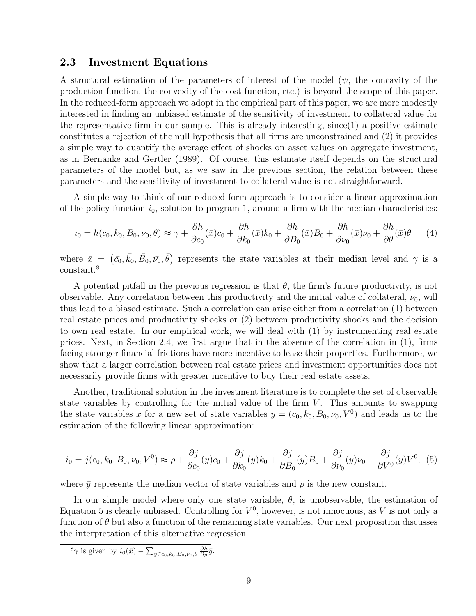### 2.3 Investment Equations

A structural estimation of the parameters of interest of the model  $(\psi, \theta)$  the concavity of the production function, the convexity of the cost function, etc.) is beyond the scope of this paper. In the reduced-form approach we adopt in the empirical part of this paper, we are more modestly interested in finding an unbiased estimate of the sensitivity of investment to collateral value for the representative firm in our sample. This is already interesting, since(1) a positive estimate constitutes a rejection of the null hypothesis that all firms are unconstrained and (2) it provides a simple way to quantify the average effect of shocks on asset values on aggregate investment, as in Bernanke and Gertler (1989). Of course, this estimate itself depends on the structural parameters of the model but, as we saw in the previous section, the relation between these parameters and the sensitivity of investment to collateral value is not straightforward.

A simple way to think of our reduced-form approach is to consider a linear approximation of the policy function  $i_0$ , solution to program 1, around a firm with the median characteristics:

$$
i_0 = h(c_0, k_0, B_0, \nu_0, \theta) \approx \gamma + \frac{\partial h}{\partial c_0}(\bar{x})c_0 + \frac{\partial h}{\partial k_0}(\bar{x})k_0 + \frac{\partial h}{\partial B_0}(\bar{x})B_0 + \frac{\partial h}{\partial \nu_0}(\bar{x})\nu_0 + \frac{\partial h}{\partial \theta}(\bar{x})\theta \tag{4}
$$

where  $\bar{x} = (\bar{c}_0, \bar{k}_0, \bar{B}_0, \bar{\nu}_0, \bar{\theta})$  represents the state variables at their median level and  $\gamma$  is a constant.<sup>8</sup>

A potential pitfall in the previous regression is that  $\theta$ , the firm's future productivity, is not observable. Any correlation between this productivity and the initial value of collateral,  $\nu_0$ , will thus lead to a biased estimate. Such a correlation can arise either from a correlation (1) between real estate prices and productivity shocks or (2) between productivity shocks and the decision to own real estate. In our empirical work, we will deal with (1) by instrumenting real estate prices. Next, in Section 2.4, we first argue that in the absence of the correlation in (1), firms facing stronger financial frictions have more incentive to lease their properties. Furthermore, we show that a larger correlation between real estate prices and investment opportunities does not necessarily provide firms with greater incentive to buy their real estate assets.

Another, traditional solution in the investment literature is to complete the set of observable state variables by controlling for the initial value of the firm  $V$ . This amounts to swapping the state variables x for a new set of state variables  $y = (c_0, k_0, B_0, \nu_0, V^0)$  and leads us to the estimation of the following linear approximation:

$$
i_0 = j(c_0, k_0, B_0, \nu_0, V^0) \approx \rho + \frac{\partial j}{\partial c_0}(\bar{y})c_0 + \frac{\partial j}{\partial k_0}(\bar{y})k_0 + \frac{\partial j}{\partial B_0}(\bar{y})B_0 + \frac{\partial j}{\partial \nu_0}(\bar{y})\nu_0 + \frac{\partial j}{\partial V^0}(\bar{y})V^0, (5)
$$

where  $\bar{y}$  represents the median vector of state variables and  $\rho$  is the new constant.

In our simple model where only one state variable,  $\theta$ , is unobservable, the estimation of Equation 5 is clearly unbiased. Controlling for  $V^0$ , however, is not innocuous, as V is not only a function of  $\theta$  but also a function of the remaining state variables. Our next proposition discusses the interpretation of this alternative regression.

<sup>8</sup> $\gamma$  is given by  $i_0(\bar{x}) - \sum_{y \in c_0, k_0, B_0, \nu_0, \theta} \frac{\partial h}{\partial y} \bar{y}.$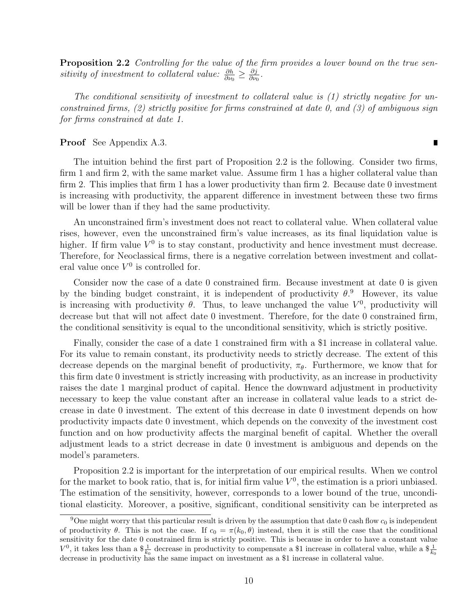**Proposition 2.2** Controlling for the value of the firm provides a lower bound on the true sensitivity of investment to collateral value:  $\frac{\partial h}{\partial v_0} \geq \frac{\partial j}{\partial v_0}$  $\frac{\partial \jmath}{\partial \nu_0}.$ 

The conditional sensitivity of investment to collateral value is (1) strictly negative for unconstrained firms,  $(2)$  strictly positive for firms constrained at date 0, and  $(3)$  of ambiguous sign for firms constrained at date 1.

#### Proof See Appendix A.3.

The intuition behind the first part of Proposition 2.2 is the following. Consider two firms, firm 1 and firm 2, with the same market value. Assume firm 1 has a higher collateral value than firm 2. This implies that firm 1 has a lower productivity than firm 2. Because date 0 investment is increasing with productivity, the apparent difference in investment between these two firms will be lower than if they had the same productivity.

An unconstrained firm's investment does not react to collateral value. When collateral value rises, however, even the unconstrained firm's value increases, as its final liquidation value is higher. If firm value  $V^0$  is to stay constant, productivity and hence investment must decrease. Therefore, for Neoclassical firms, there is a negative correlation between investment and collateral value once  $V^0$  is controlled for.

Consider now the case of a date 0 constrained firm. Because investment at date 0 is given by the binding budget constraint, it is independent of productivity  $\theta$ .<sup>9</sup> However, its value is increasing with productivity  $\theta$ . Thus, to leave unchanged the value  $V^0$ , productivity will decrease but that will not affect date 0 investment. Therefore, for the date 0 constrained firm, the conditional sensitivity is equal to the unconditional sensitivity, which is strictly positive.

Finally, consider the case of a date 1 constrained firm with a \$1 increase in collateral value. For its value to remain constant, its productivity needs to strictly decrease. The extent of this decrease depends on the marginal benefit of productivity,  $\pi_{\theta}$ . Furthermore, we know that for this firm date 0 investment is strictly increasing with productivity, as an increase in productivity raises the date 1 marginal product of capital. Hence the downward adjustment in productivity necessary to keep the value constant after an increase in collateral value leads to a strict decrease in date 0 investment. The extent of this decrease in date 0 investment depends on how productivity impacts date 0 investment, which depends on the convexity of the investment cost function and on how productivity affects the marginal benefit of capital. Whether the overall adjustment leads to a strict decrease in date 0 investment is ambiguous and depends on the model's parameters.

Proposition 2.2 is important for the interpretation of our empirical results. When we control for the market to book ratio, that is, for initial firm value  $V^0$ , the estimation is a priori unbiased. The estimation of the sensitivity, however, corresponds to a lower bound of the true, unconditional elasticity. Moreover, a positive, significant, conditional sensitivity can be interpreted as

 $\overline{\phantom{a}}$ 

<sup>&</sup>lt;sup>9</sup>One might worry that this particular result is driven by the assumption that date 0 cash flow  $c_0$  is independent of productivity  $\theta$ . This is not the case. If  $c_0 = \pi(k_0, \theta)$  instead, then it is still the case that the conditional sensitivity for the date 0 constrained firm is strictly positive. This is because in order to have a constant value  $V^0$ , it takes less than a  $\frac{1}{k_0}$  decrease in productivity to compensate a \$1 increase in collateral value, while a  $\frac{1}{k_0}$ decrease in productivity has the same impact on investment as a \$1 increase in collateral value.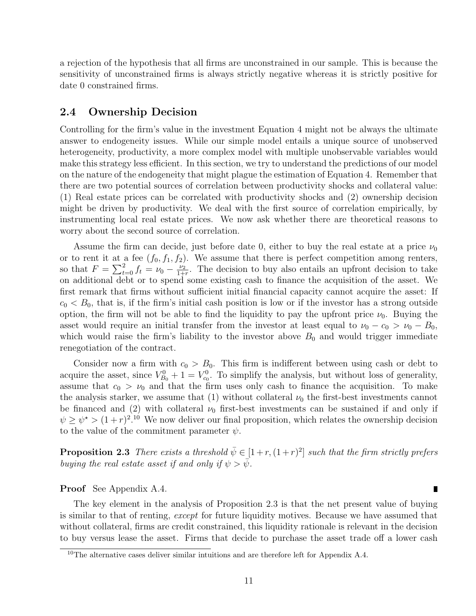a rejection of the hypothesis that all firms are unconstrained in our sample. This is because the sensitivity of unconstrained firms is always strictly negative whereas it is strictly positive for date 0 constrained firms.

### 2.4 Ownership Decision

Controlling for the firm's value in the investment Equation 4 might not be always the ultimate answer to endogeneity issues. While our simple model entails a unique source of unobserved heterogeneity, productivity, a more complex model with multiple unobservable variables would make this strategy less efficient. In this section, we try to understand the predictions of our model on the nature of the endogeneity that might plague the estimation of Equation 4. Remember that there are two potential sources of correlation between productivity shocks and collateral value: (1) Real estate prices can be correlated with productivity shocks and (2) ownership decision might be driven by productivity. We deal with the first source of correlation empirically, by instrumenting local real estate prices. We now ask whether there are theoretical reasons to worry about the second source of correlation.

Assume the firm can decide, just before date 0, either to buy the real estate at a price  $\nu_0$ or to rent it at a fee  $(f_0, f_1, f_2)$ . We assume that there is perfect competition among renters, so that  $F = \sum_{t=0}^{2} f_t = \nu_0 - \frac{\nu_2}{1+\nu_1}$  $\frac{\nu_2}{1+r}$ . The decision to buy also entails an upfront decision to take on additional debt or to spend some existing cash to finance the acquisition of the asset. We first remark that firms without sufficient initial financial capacity cannot acquire the asset: If  $c_0 < B_0$ , that is, if the firm's initial cash position is low or if the investor has a strong outside option, the firm will not be able to find the liquidity to pay the upfront price  $\nu_0$ . Buying the asset would require an initial transfer from the investor at least equal to  $\nu_0 - c_0 > \nu_0 - B_0$ , which would raise the firm's liability to the investor above  $B_0$  and would trigger immediate renegotiation of the contract.

Consider now a firm with  $c_0 > B_0$ . This firm is indifferent between using cash or debt to acquire the asset, since  $V_{B_0}^0 + 1 = V_{c_0}^0$ . To simplify the analysis, but without loss of generality, assume that  $c_0 > v_0$  and that the firm uses only cash to finance the acquisition. To make the analysis starker, we assume that (1) without collateral  $\nu_0$  the first-best investments cannot be financed and (2) with collateral  $\nu_0$  first-best investments can be sustained if and only if  $\psi \geq \psi^* > (1+r)^{2.10}$  We now deliver our final proposition, which relates the ownership decision to the value of the commitment parameter  $\psi$ .

**Proposition 2.3** There exists a threshold  $\bar{\psi} \in [1 + r, (1 + r)^2]$  such that the firm strictly prefers buying the real estate asset if and only if  $\psi > \bar{\psi}$ .

Г

#### Proof See Appendix A.4.

The key element in the analysis of Proposition 2.3 is that the net present value of buying is similar to that of renting, except for future liquidity motives. Because we have assumed that without collateral, firms are credit constrained, this liquidity rationale is relevant in the decision to buy versus lease the asset. Firms that decide to purchase the asset trade off a lower cash

<sup>&</sup>lt;sup>10</sup>The alternative cases deliver similar intuitions and are therefore left for Appendix A.4.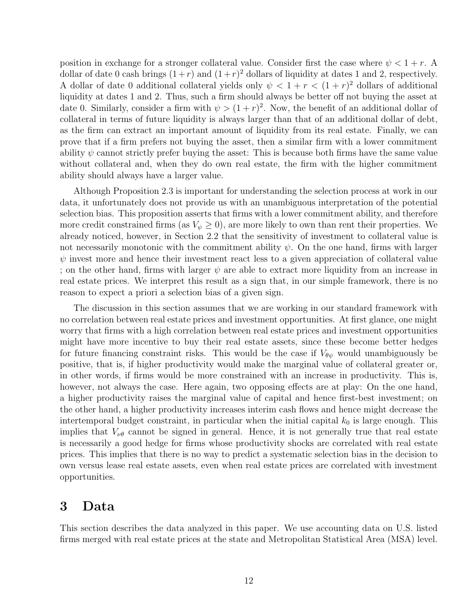position in exchange for a stronger collateral value. Consider first the case where  $\psi < 1+r$ . A dollar of date 0 cash brings  $(1+r)$  and  $(1+r)^2$  dollars of liquidity at dates 1 and 2, respectively. A dollar of date 0 additional collateral yields only  $\psi < 1 + r < (1 + r)^2$  dollars of additional liquidity at dates 1 and 2. Thus, such a firm should always be better off not buying the asset at date 0. Similarly, consider a firm with  $\psi > (1+r)^2$ . Now, the benefit of an additional dollar of collateral in terms of future liquidity is always larger than that of an additional dollar of debt, as the firm can extract an important amount of liquidity from its real estate. Finally, we can prove that if a firm prefers not buying the asset, then a similar firm with a lower commitment ability  $\psi$  cannot strictly prefer buying the asset: This is because both firms have the same value without collateral and, when they do own real estate, the firm with the higher commitment ability should always have a larger value.

Although Proposition 2.3 is important for understanding the selection process at work in our data, it unfortunately does not provide us with an unambiguous interpretation of the potential selection bias. This proposition asserts that firms with a lower commitment ability, and therefore more credit constrained firms (as  $V_{\psi} \geq 0$ ), are more likely to own than rent their properties. We already noticed, however, in Section 2.2 that the sensitivity of investment to collateral value is not necessarily monotonic with the commitment ability  $\psi$ . On the one hand, firms with larger  $\psi$  invest more and hence their investment react less to a given appreciation of collateral value ; on the other hand, firms with larger  $\psi$  are able to extract more liquidity from an increase in real estate prices. We interpret this result as a sign that, in our simple framework, there is no reason to expect a priori a selection bias of a given sign.

The discussion in this section assumes that we are working in our standard framework with no correlation between real estate prices and investment opportunities. At first glance, one might worry that firms with a high correlation between real estate prices and investment opportunities might have more incentive to buy their real estate assets, since these become better hedges for future financing constraint risks. This would be the case if  $V_{\theta\psi}$  would unambiguously be positive, that is, if higher productivity would make the marginal value of collateral greater or, in other words, if firms would be more constrained with an increase in productivity. This is, however, not always the case. Here again, two opposing effects are at play: On the one hand, a higher productivity raises the marginal value of capital and hence first-best investment; on the other hand, a higher productivity increases interim cash flows and hence might decrease the intertemporal budget constraint, in particular when the initial capital  $k_0$  is large enough. This implies that  $V_{\nu\theta}$  cannot be signed in general. Hence, it is not generally true that real estate is necessarily a good hedge for firms whose productivity shocks are correlated with real estate prices. This implies that there is no way to predict a systematic selection bias in the decision to own versus lease real estate assets, even when real estate prices are correlated with investment opportunities.

# 3 Data

This section describes the data analyzed in this paper. We use accounting data on U.S. listed firms merged with real estate prices at the state and Metropolitan Statistical Area (MSA) level.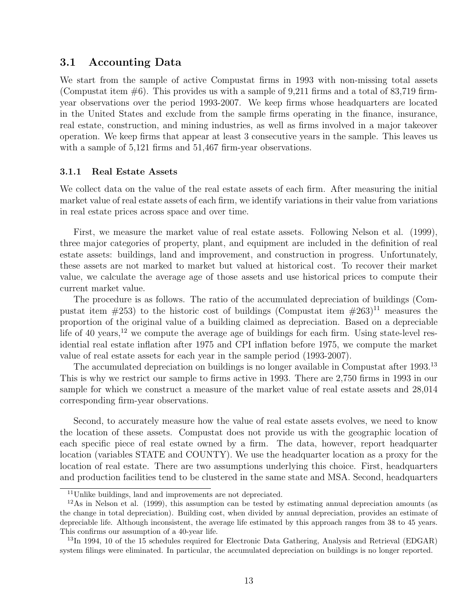### 3.1 Accounting Data

We start from the sample of active Compustat firms in 1993 with non-missing total assets (Compustat item  $\#6$ ). This provides us with a sample of 9,211 firms and a total of 83,719 firmyear observations over the period 1993-2007. We keep firms whose headquarters are located in the United States and exclude from the sample firms operating in the finance, insurance, real estate, construction, and mining industries, as well as firms involved in a major takeover operation. We keep firms that appear at least 3 consecutive years in the sample. This leaves us with a sample of  $5,121$  firms and  $51,467$  firm-year observations.

#### 3.1.1 Real Estate Assets

We collect data on the value of the real estate assets of each firm. After measuring the initial market value of real estate assets of each firm, we identify variations in their value from variations in real estate prices across space and over time.

First, we measure the market value of real estate assets. Following Nelson et al. (1999), three major categories of property, plant, and equipment are included in the definition of real estate assets: buildings, land and improvement, and construction in progress. Unfortunately, these assets are not marked to market but valued at historical cost. To recover their market value, we calculate the average age of those assets and use historical prices to compute their current market value.

The procedure is as follows. The ratio of the accumulated depreciation of buildings (Compustat item  $\#253$ ) to the historic cost of buildings (Compustat item  $\#263$ )<sup>11</sup> measures the proportion of the original value of a building claimed as depreciation. Based on a depreciable life of 40 years,<sup>12</sup> we compute the average age of buildings for each firm. Using state-level residential real estate inflation after 1975 and CPI inflation before 1975, we compute the market value of real estate assets for each year in the sample period (1993-2007).

The accumulated depreciation on buildings is no longer available in Compustat after 1993.<sup>13</sup> This is why we restrict our sample to firms active in 1993. There are 2,750 firms in 1993 in our sample for which we construct a measure of the market value of real estate assets and 28,014 corresponding firm-year observations.

Second, to accurately measure how the value of real estate assets evolves, we need to know the location of these assets. Compustat does not provide us with the geographic location of each specific piece of real estate owned by a firm. The data, however, report headquarter location (variables STATE and COUNTY). We use the headquarter location as a proxy for the location of real estate. There are two assumptions underlying this choice. First, headquarters and production facilities tend to be clustered in the same state and MSA. Second, headquarters

<sup>&</sup>lt;sup>11</sup>Unlike buildings, land and improvements are not depreciated.

 $12\text{As}$  in Nelson et al. (1999), this assumption can be tested by estimating annual depreciation amounts (as the change in total depreciation). Building cost, when divided by annual depreciation, provides an estimate of depreciable life. Although inconsistent, the average life estimated by this approach ranges from 38 to 45 years. This confirms our assumption of a 40-year life.

 $^{13}$ In 1994, 10 of the 15 schedules required for Electronic Data Gathering, Analysis and Retrieval (EDGAR) system filings were eliminated. In particular, the accumulated depreciation on buildings is no longer reported.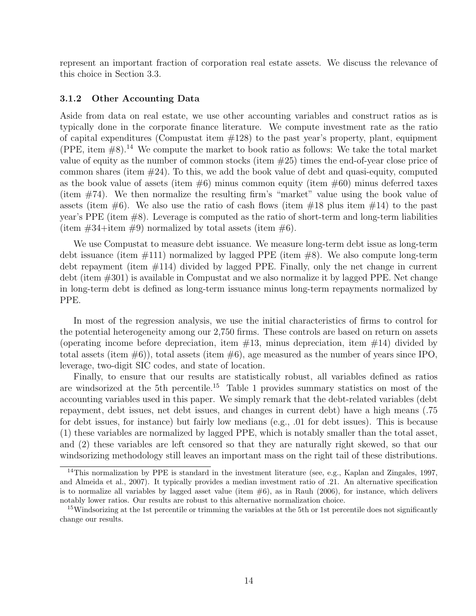represent an important fraction of corporation real estate assets. We discuss the relevance of this choice in Section 3.3.

#### 3.1.2 Other Accounting Data

Aside from data on real estate, we use other accounting variables and construct ratios as is typically done in the corporate finance literature. We compute investment rate as the ratio of capital expenditures (Compustat item  $\#128$ ) to the past year's property, plant, equipment (PPE, item  $#8$ ).<sup>14</sup> We compute the market to book ratio as follows: We take the total market value of equity as the number of common stocks (item #25) times the end-of-year close price of common shares (item  $\#24$ ). To this, we add the book value of debt and quasi-equity, computed as the book value of assets (item  $\#6$ ) minus common equity (item  $\#60$ ) minus deferred taxes (item #74). We then normalize the resulting firm's "market" value using the book value of assets (item  $\#6$ ). We also use the ratio of cash flows (item  $\#18$  plus item  $\#14$ ) to the past year's PPE (item #8). Leverage is computed as the ratio of short-term and long-term liabilities (item  $\#34$ +item  $\#9$ ) normalized by total assets (item  $\#6$ ).

We use Compustat to measure debt issuance. We measure long-term debt issue as long-term debt issuance (item #111) normalized by lagged PPE (item #8). We also compute long-term debt repayment (item #114) divided by lagged PPE. Finally, only the net change in current debt (item #301) is available in Compustat and we also normalize it by lagged PPE. Net change in long-term debt is defined as long-term issuance minus long-term repayments normalized by PPE.

In most of the regression analysis, we use the initial characteristics of firms to control for the potential heterogeneity among our 2,750 firms. These controls are based on return on assets (operating income before depreciation, item  $\#13$ , minus depreciation, item  $\#14$ ) divided by total assets (item  $\#6$ ), total assets (item  $\#6$ ), age measured as the number of years since IPO, leverage, two-digit SIC codes, and state of location.

Finally, to ensure that our results are statistically robust, all variables defined as ratios are windsorized at the 5th percentile.<sup>15</sup> Table 1 provides summary statistics on most of the accounting variables used in this paper. We simply remark that the debt-related variables (debt repayment, debt issues, net debt issues, and changes in current debt) have a high means (.75 for debt issues, for instance) but fairly low medians (e.g., .01 for debt issues). This is because (1) these variables are normalized by lagged PPE, which is notably smaller than the total asset, and (2) these variables are left censored so that they are naturally right skewed, so that our windsorizing methodology still leaves an important mass on the right tail of these distributions.

<sup>&</sup>lt;sup>14</sup>This normalization by PPE is standard in the investment literature (see, e.g., Kaplan and Zingales, 1997, and Almeida et al., 2007). It typically provides a median investment ratio of .21. An alternative specification is to normalize all variables by lagged asset value (item  $#6$ ), as in Rauh (2006), for instance, which delivers notably lower ratios. Our results are robust to this alternative normalization choice.

<sup>&</sup>lt;sup>15</sup>Windsorizing at the 1st percentile or trimming the variables at the 5th or 1st percentile does not significantly change our results.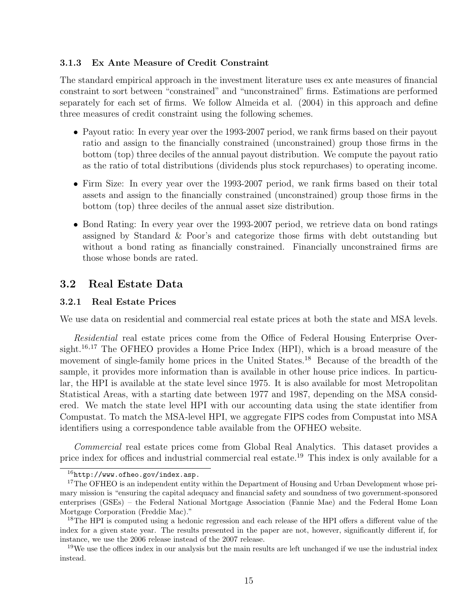#### 3.1.3 Ex Ante Measure of Credit Constraint

The standard empirical approach in the investment literature uses ex ante measures of financial constraint to sort between "constrained" and "unconstrained" firms. Estimations are performed separately for each set of firms. We follow Almeida et al. (2004) in this approach and define three measures of credit constraint using the following schemes.

- Payout ratio: In every year over the 1993-2007 period, we rank firms based on their payout ratio and assign to the financially constrained (unconstrained) group those firms in the bottom (top) three deciles of the annual payout distribution. We compute the payout ratio as the ratio of total distributions (dividends plus stock repurchases) to operating income.
- Firm Size: In every year over the 1993-2007 period, we rank firms based on their total assets and assign to the financially constrained (unconstrained) group those firms in the bottom (top) three deciles of the annual asset size distribution.
- Bond Rating: In every year over the 1993-2007 period, we retrieve data on bond ratings assigned by Standard & Poor's and categorize those firms with debt outstanding but without a bond rating as financially constrained. Financially unconstrained firms are those whose bonds are rated.

### 3.2 Real Estate Data

#### 3.2.1 Real Estate Prices

We use data on residential and commercial real estate prices at both the state and MSA levels.

Residential real estate prices come from the Office of Federal Housing Enterprise Oversight.<sup>16,17</sup> The OFHEO provides a Home Price Index (HPI), which is a broad measure of the movement of single-family home prices in the United States.<sup>18</sup> Because of the breadth of the sample, it provides more information than is available in other house price indices. In particular, the HPI is available at the state level since 1975. It is also available for most Metropolitan Statistical Areas, with a starting date between 1977 and 1987, depending on the MSA considered. We match the state level HPI with our accounting data using the state identifier from Compustat. To match the MSA-level HPI, we aggregate FIPS codes from Compustat into MSA identifiers using a correspondence table available from the OFHEO website.

Commercial real estate prices come from Global Real Analytics. This dataset provides a price index for offices and industrial commercial real estate.<sup>19</sup> This index is only available for a

 $16$ http://www.ofheo.gov/index.asp.

<sup>&</sup>lt;sup>17</sup>The OFHEO is an independent entity within the Department of Housing and Urban Development whose primary mission is "ensuring the capital adequacy and financial safety and soundness of two government-sponsored enterprises (GSEs) – the Federal National Mortgage Association (Fannie Mae) and the Federal Home Loan Mortgage Corporation (Freddie Mac)."

<sup>&</sup>lt;sup>18</sup>The HPI is computed using a hedonic regression and each release of the HPI offers a different value of the index for a given state year. The results presented in the paper are not, however, significantly different if, for instance, we use the 2006 release instead of the 2007 release.

<sup>&</sup>lt;sup>19</sup>We use the offices index in our analysis but the main results are left unchanged if we use the industrial index instead.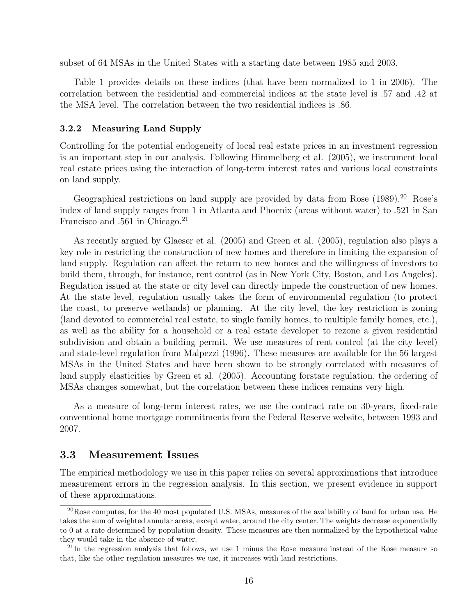subset of 64 MSAs in the United States with a starting date between 1985 and 2003.

Table 1 provides details on these indices (that have been normalized to 1 in 2006). The correlation between the residential and commercial indices at the state level is .57 and .42 at the MSA level. The correlation between the two residential indices is .86.

#### 3.2.2 Measuring Land Supply

Controlling for the potential endogeneity of local real estate prices in an investment regression is an important step in our analysis. Following Himmelberg et al. (2005), we instrument local real estate prices using the interaction of long-term interest rates and various local constraints on land supply.

Geographical restrictions on land supply are provided by data from Rose (1989).<sup>20</sup> Rose's index of land supply ranges from 1 in Atlanta and Phoenix (areas without water) to .521 in San Francisco and .561 in Chicago.<sup>21</sup>

As recently argued by Glaeser et al. (2005) and Green et al. (2005), regulation also plays a key role in restricting the construction of new homes and therefore in limiting the expansion of land supply. Regulation can affect the return to new homes and the willingness of investors to build them, through, for instance, rent control (as in New York City, Boston, and Los Angeles). Regulation issued at the state or city level can directly impede the construction of new homes. At the state level, regulation usually takes the form of environmental regulation (to protect the coast, to preserve wetlands) or planning. At the city level, the key restriction is zoning (land devoted to commercial real estate, to single family homes, to multiple family homes, etc.), as well as the ability for a household or a real estate developer to rezone a given residential subdivision and obtain a building permit. We use measures of rent control (at the city level) and state-level regulation from Malpezzi (1996). These measures are available for the 56 largest MSAs in the United States and have been shown to be strongly correlated with measures of land supply elasticities by Green et al. (2005). Accounting forstate regulation, the ordering of MSAs changes somewhat, but the correlation between these indices remains very high.

As a measure of long-term interest rates, we use the contract rate on 30-years, fixed-rate conventional home mortgage commitments from the Federal Reserve website, between 1993 and 2007.

### 3.3 Measurement Issues

The empirical methodology we use in this paper relies on several approximations that introduce measurement errors in the regression analysis. In this section, we present evidence in support of these approximations.

 $^{20}$ Rose computes, for the 40 most populated U.S. MSAs, measures of the availability of land for urban use. He takes the sum of weighted annular areas, except water, around the city center. The weights decrease exponentially to 0 at a rate determined by population density. These measures are then normalized by the hypothetical value they would take in the absence of water.

 $^{21}$ In the regression analysis that follows, we use 1 minus the Rose measure instead of the Rose measure so that, like the other regulation measures we use, it increases with land restrictions.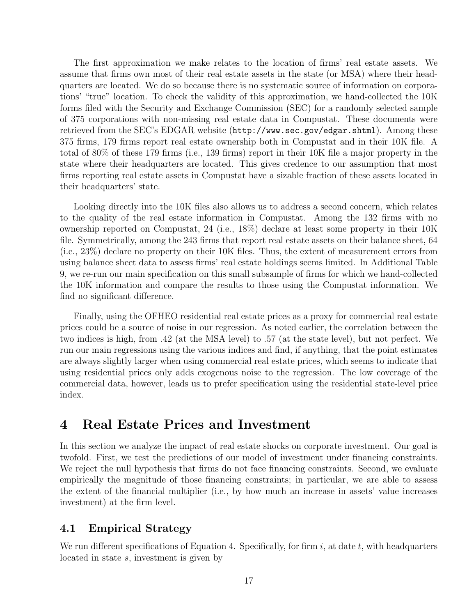The first approximation we make relates to the location of firms' real estate assets. We assume that firms own most of their real estate assets in the state (or MSA) where their headquarters are located. We do so because there is no systematic source of information on corporations' "true" location. To check the validity of this approximation, we hand-collected the 10K forms filed with the Security and Exchange Commission (SEC) for a randomly selected sample of 375 corporations with non-missing real estate data in Compustat. These documents were retrieved from the SEC's EDGAR website (http://www.sec.gov/edgar.shtml). Among these 375 firms, 179 firms report real estate ownership both in Compustat and in their 10K file. A total of 80% of these 179 firms (i.e., 139 firms) report in their 10K file a major property in the state where their headquarters are located. This gives credence to our assumption that most firms reporting real estate assets in Compustat have a sizable fraction of these assets located in their headquarters' state.

Looking directly into the 10K files also allows us to address a second concern, which relates to the quality of the real estate information in Compustat. Among the 132 firms with no ownership reported on Compustat, 24 (i.e., 18%) declare at least some property in their 10K file. Symmetrically, among the 243 firms that report real estate assets on their balance sheet, 64 (i.e., 23%) declare no property on their 10K files. Thus, the extent of measurement errors from using balance sheet data to assess firms' real estate holdings seems limited. In Additional Table 9, we re-run our main specification on this small subsample of firms for which we hand-collected the 10K information and compare the results to those using the Compustat information. We find no significant difference.

Finally, using the OFHEO residential real estate prices as a proxy for commercial real estate prices could be a source of noise in our regression. As noted earlier, the correlation between the two indices is high, from .42 (at the MSA level) to .57 (at the state level), but not perfect. We run our main regressions using the various indices and find, if anything, that the point estimates are always slightly larger when using commercial real estate prices, which seems to indicate that using residential prices only adds exogenous noise to the regression. The low coverage of the commercial data, however, leads us to prefer specification using the residential state-level price index.

# 4 Real Estate Prices and Investment

In this section we analyze the impact of real estate shocks on corporate investment. Our goal is twofold. First, we test the predictions of our model of investment under financing constraints. We reject the null hypothesis that firms do not face financing constraints. Second, we evaluate empirically the magnitude of those financing constraints; in particular, we are able to assess the extent of the financial multiplier (i.e., by how much an increase in assets' value increases investment) at the firm level.

# 4.1 Empirical Strategy

We run different specifications of Equation 4. Specifically, for firm i, at date t, with headquarters located in state s, investment is given by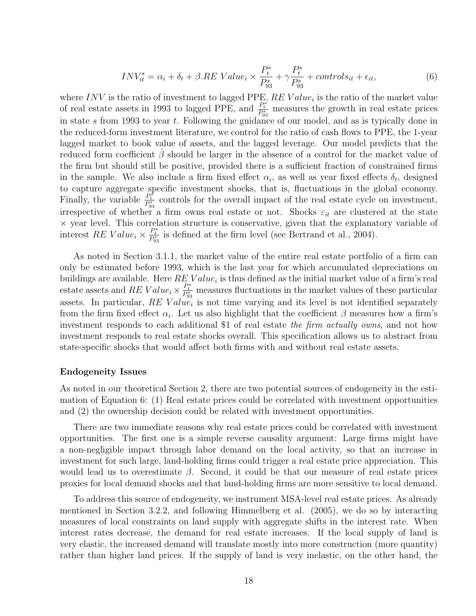$$
INV_{it}^{s} = \alpha_{i} + \delta_{t} + \beta.RE\ Value_{i} \times \frac{P_{t}^{s}}{P_{93}^{s}} + \gamma \frac{P_{t}^{s}}{P_{93}^{s}} + controls_{it} + \epsilon_{it},
$$
\n
$$
\tag{6}
$$

where INV is the ratio of investment to lagged PPE,  $RE$  Value<sub>i</sub> is the ratio of the market value of real estate assets in 1993 to lagged PPE, and  $\frac{P_t^s}{P_{93}^s}$  measures the growth in real estate prices in state s from 1993 to year t. Following the guidance of our model, and as is typically done in the reduced-form investment literature, we control for the ratio of cash flows to PPE, the 1-year lagged market to book value of assets, and the lagged leverage. Our model predicts that the reduced form coefficient  $\hat{\beta}$  should be larger in the absence of a control for the market value of the firm but should still be positive, provided there is a sufficient fraction of constrained firms in the sample. We also include a firm fixed effect  $\alpha_i$ , as well as year fixed effects  $\delta_t$ , designed to capture aggregate specific investment shocks, that is, fluctuations in the global economy. Finally, the variable  $\frac{P_t^s}{P_{93}^s}$  controls for the overall impact of the real estate cycle on investment, irrespective of whether a firm owns real estate or not. Shocks  $\varepsilon_{it}$  are clustered at the state × year level. This correlation structure is conservative, given that the explanatory variable of interest RE Value<sub>i</sub>  $\times \frac{P_t^s}{P_{93}^s}$  is defined at the firm level (see Bertrand et al., 2004).

As noted in Section 3.1.1, the market value of the entire real estate portfolio of a firm can only be estimated before 1993, which is the last year for which accumulated depreciations on buildings are available. Here  $RE$  Value<sub>i</sub> is thus defined as the initial market value of a firm's real estate assets and RE Value<sub>i</sub>  $\times \frac{P_t^s}{P_{93}^s}$  measures fluctuations in the market values of these particular assets. In particular,  $RE$  Value<sub>i</sub> is not time varying and its level is not identified separately from the firm fixed effect  $\alpha_i$ . Let us also highlight that the coefficient  $\beta$  measures how a firm's investment responds to each additional \$1 of real estate the firm actually owns, and not how investment responds to real estate shocks overall. This specification allows us to abstract from state-specific shocks that would affect both firms with and without real estate assets.

#### Endogeneity Issues

As noted in our theoretical Section 2, there are two potential sources of endogeneity in the estimation of Equation 6: (1) Real estate prices could be correlated with investment opportunities and (2) the ownership decision could be related with investment opportunities.

There are two immediate reasons why real estate prices could be correlated with investment opportunities. The first one is a simple reverse causality argument: Large firms might have a non-negligible impact through labor demand on the local activity, so that an increase in investment for such large, land-holding firms could trigger a real estate price appreciation. This would lead us to overestimate  $\beta$ . Second, it could be that our measure of real estate prices proxies for local demand shocks and that land-holding firms are more sensitive to local demand.

To address this source of endogeneity, we instrument MSA-level real estate prices. As already mentioned in Section 3.2.2, and following Himmelberg et al. (2005), we do so by interacting measures of local constraints on land supply with aggregate shifts in the interest rate. When interest rates decrease, the demand for real estate increases. If the local supply of land is very elastic, the increased demand will translate mostly into more construction (more quantity) rather than higher land prices. If the supply of land is very inelastic, on the other hand, the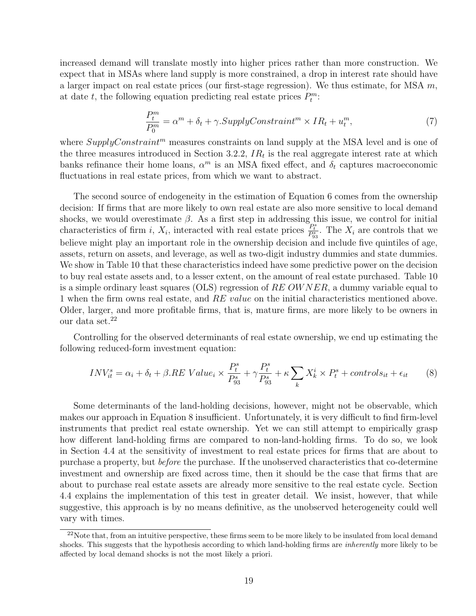increased demand will translate mostly into higher prices rather than more construction. We expect that in MSAs where land supply is more constrained, a drop in interest rate should have a larger impact on real estate prices (our first-stage regression). We thus estimate, for MSA  $m$ , at date t, the following equation predicting real estate prices  $P_t^m$ :

$$
\frac{P_t^m}{P_0^m} = \alpha^m + \delta_t + \gamma.SupplyConstant^m \times IR_t + u_t^m,\tag{7}
$$

where  $Supply Constant^m$  measures constraints on land supply at the MSA level and is one of the three measures introduced in Section 3.2.2,  $IR_t$  is the real aggregate interest rate at which banks refinance their home loans,  $\alpha^m$  is an MSA fixed effect, and  $\delta_t$  captures macroeconomic fluctuations in real estate prices, from which we want to abstract.

The second source of endogeneity in the estimation of Equation 6 comes from the ownership decision: If firms that are more likely to own real estate are also more sensitive to local demand shocks, we would overestimate  $\beta$ . As a first step in addressing this issue, we control for initial characteristics of firm i,  $X_i$ , interacted with real estate prices  $\frac{P_t^s}{P_{33}^s}$ . The  $X_i$  are controls that we believe might play an important role in the ownership decision and include five quintiles of age, assets, return on assets, and leverage, as well as two-digit industry dummies and state dummies. We show in Table 10 that these characteristics indeed have some predictive power on the decision to buy real estate assets and, to a lesser extent, on the amount of real estate purchased. Table 10 is a simple ordinary least squares (OLS) regression of  $REOWNER$ , a dummy variable equal to 1 when the firm owns real estate, and RE value on the initial characteristics mentioned above. Older, larger, and more profitable firms, that is, mature firms, are more likely to be owners in our data set.<sup>22</sup>

Controlling for the observed determinants of real estate ownership, we end up estimating the following reduced-form investment equation:

$$
INV_{it}^{s} = \alpha_i + \delta_t + \beta. RE\ Value_i \times \frac{P_t^s}{P_{93}^s} + \gamma \frac{P_t^s}{P_{93}^s} + \kappa \sum_{k} X_k^i \times P_t^s + controls_{it} + \epsilon_{it} \tag{8}
$$

Some determinants of the land-holding decisions, however, might not be observable, which makes our approach in Equation 8 insufficient. Unfortunately, it is very difficult to find firm-level instruments that predict real estate ownership. Yet we can still attempt to empirically grasp how different land-holding firms are compared to non-land-holding firms. To do so, we look in Section 4.4 at the sensitivity of investment to real estate prices for firms that are about to purchase a property, but before the purchase. If the unobserved characteristics that co-determine investment and ownership are fixed across time, then it should be the case that firms that are about to purchase real estate assets are already more sensitive to the real estate cycle. Section 4.4 explains the implementation of this test in greater detail. We insist, however, that while suggestive, this approach is by no means definitive, as the unobserved heterogeneity could well vary with times.

 $^{22}$ Note that, from an intuitive perspective, these firms seem to be more likely to be insulated from local demand shocks. This suggests that the hypothesis according to which land-holding firms are *inherently* more likely to be affected by local demand shocks is not the most likely a priori.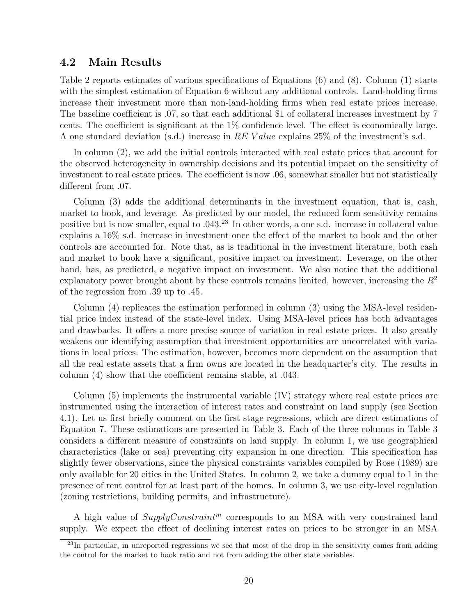### 4.2 Main Results

Table 2 reports estimates of various specifications of Equations (6) and (8). Column (1) starts with the simplest estimation of Equation 6 without any additional controls. Land-holding firms increase their investment more than non-land-holding firms when real estate prices increase. The baseline coefficient is .07, so that each additional \$1 of collateral increases investment by 7 cents. The coefficient is significant at the 1% confidence level. The effect is economically large. A one standard deviation (s.d.) increase in RE Value explains 25% of the investment's s.d.

In column (2), we add the initial controls interacted with real estate prices that account for the observed heterogeneity in ownership decisions and its potential impact on the sensitivity of investment to real estate prices. The coefficient is now .06, somewhat smaller but not statistically different from .07.

Column (3) adds the additional determinants in the investment equation, that is, cash, market to book, and leverage. As predicted by our model, the reduced form sensitivity remains positive but is now smaller, equal to .043.<sup>23</sup> In other words, a one s.d. increase in collateral value explains a 16% s.d. increase in investment once the effect of the market to book and the other controls are accounted for. Note that, as is traditional in the investment literature, both cash and market to book have a significant, positive impact on investment. Leverage, on the other hand, has, as predicted, a negative impact on investment. We also notice that the additional explanatory power brought about by these controls remains limited, however, increasing the  $R^2$ of the regression from .39 up to .45.

Column (4) replicates the estimation performed in column (3) using the MSA-level residential price index instead of the state-level index. Using MSA-level prices has both advantages and drawbacks. It offers a more precise source of variation in real estate prices. It also greatly weakens our identifying assumption that investment opportunities are uncorrelated with variations in local prices. The estimation, however, becomes more dependent on the assumption that all the real estate assets that a firm owns are located in the headquarter's city. The results in column (4) show that the coefficient remains stable, at .043.

Column (5) implements the instrumental variable (IV) strategy where real estate prices are instrumented using the interaction of interest rates and constraint on land supply (see Section 4.1). Let us first briefly comment on the first stage regressions, which are direct estimations of Equation 7. These estimations are presented in Table 3. Each of the three columns in Table 3 considers a different measure of constraints on land supply. In column 1, we use geographical characteristics (lake or sea) preventing city expansion in one direction. This specification has slightly fewer observations, since the physical constraints variables compiled by Rose (1989) are only available for 20 cities in the United States. In column 2, we take a dummy equal to 1 in the presence of rent control for at least part of the homes. In column 3, we use city-level regulation (zoning restrictions, building permits, and infrastructure).

A high value of  $Supply Constant^m$  corresponds to an MSA with very constrained land supply. We expect the effect of declining interest rates on prices to be stronger in an MSA

 $^{23}$ In particular, in unreported regressions we see that most of the drop in the sensitivity comes from adding the control for the market to book ratio and not from adding the other state variables.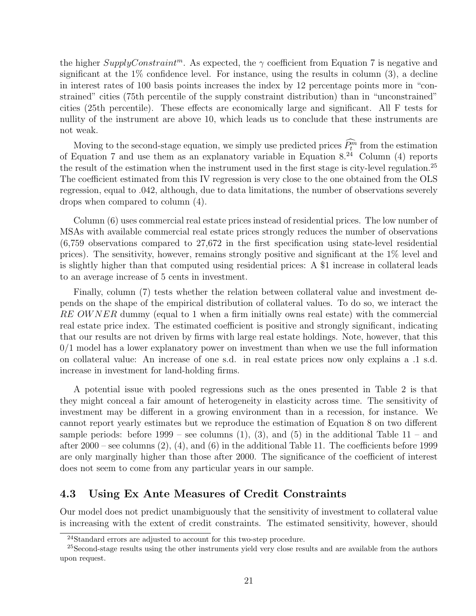the higher  $Supply Constant^m$ . As expected, the  $\gamma$  coefficient from Equation 7 is negative and significant at the  $1\%$  confidence level. For instance, using the results in column  $(3)$ , a decline in interest rates of 100 basis points increases the index by 12 percentage points more in "constrained" cities (75th percentile of the supply constraint distribution) than in "unconstrained" cities (25th percentile). These effects are economically large and significant. All F tests for nullity of the instrument are above 10, which leads us to conclude that these instruments are not weak.

Moving to the second-stage equation, we simply use predicted prices  $\tilde{P}_t^m$  from the estimation of Equation 7 and use them as an explanatory variable in Equation  $8.^{24}$  Column (4) reports the result of the estimation when the instrument used in the first stage is city-level regulation.<sup>25</sup> The coefficient estimated from this IV regression is very close to the one obtained from the OLS regression, equal to .042, although, due to data limitations, the number of observations severely drops when compared to column (4).

Column (6) uses commercial real estate prices instead of residential prices. The low number of MSAs with available commercial real estate prices strongly reduces the number of observations (6,759 observations compared to 27,672 in the first specification using state-level residential prices). The sensitivity, however, remains strongly positive and significant at the 1% level and is slightly higher than that computed using residential prices: A \$1 increase in collateral leads to an average increase of 5 cents in investment.

Finally, column (7) tests whether the relation between collateral value and investment depends on the shape of the empirical distribution of collateral values. To do so, we interact the RE OWNER dummy (equal to 1 when a firm initially owns real estate) with the commercial real estate price index. The estimated coefficient is positive and strongly significant, indicating that our results are not driven by firms with large real estate holdings. Note, however, that this  $0/1$  model has a lower explanatory power on investment than when we use the full information on collateral value: An increase of one s.d. in real estate prices now only explains a .1 s.d. increase in investment for land-holding firms.

A potential issue with pooled regressions such as the ones presented in Table 2 is that they might conceal a fair amount of heterogeneity in elasticity across time. The sensitivity of investment may be different in a growing environment than in a recession, for instance. We cannot report yearly estimates but we reproduce the estimation of Equation 8 on two different sample periods: before  $1999$  – see columns  $(1)$ ,  $(3)$ , and  $(5)$  in the additional Table  $11$  – and after 2000 – see columns  $(2), (4),$  and  $(6)$  in the additional Table 11. The coefficients before 1999 are only marginally higher than those after 2000. The significance of the coefficient of interest does not seem to come from any particular years in our sample.

# 4.3 Using Ex Ante Measures of Credit Constraints

Our model does not predict unambiguously that the sensitivity of investment to collateral value is increasing with the extent of credit constraints. The estimated sensitivity, however, should

<sup>24</sup>Standard errors are adjusted to account for this two-step procedure.

<sup>&</sup>lt;sup>25</sup>Second-stage results using the other instruments yield very close results and are available from the authors upon request.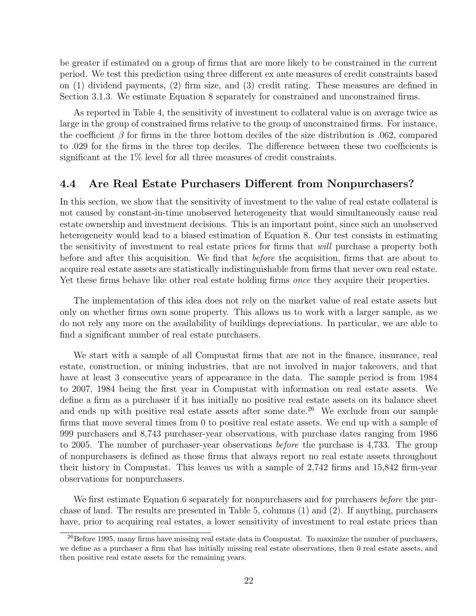be greater if estimated on a group of firms that are more likely to be constrained in the current period. We test this prediction using three different ex ante measures of credit constraints based on (1) dividend payments, (2) firm size, and (3) credit rating. These measures are defined in Section 3.1.3. We estimate Equation 8 separately for constrained and unconstrained firms.

As reported in Table 4, the sensitivity of investment to collateral value is on average twice as large in the group of constrained firms relative to the group of unconstrained firms. For instance, the coefficient  $\beta$  for firms in the three bottom deciles of the size distribution is .062, compared to .029 for the firms in the three top deciles. The difference between these two coefficients is significant at the 1% level for all three measures of credit constraints.

# 4.4 Are Real Estate Purchasers Different from Nonpurchasers?

In this section, we show that the sensitivity of investment to the value of real estate collateral is not caused by constant-in-time unobserved heterogeneity that would simultaneously cause real estate ownership and investment decisions. This is an important point, since such an unobserved heterogeneity would lead to a biased estimation of Equation 8. Our test consists in estimating the sensitivity of investment to real estate prices for firms that will purchase a property both before and after this acquisition. We find that *before* the acquisition, firms that are about to acquire real estate assets are statistically indistinguishable from firms that never own real estate. Yet these firms behave like other real estate holding firms *once* they acquire their properties.

The implementation of this idea does not rely on the market value of real estate assets but only on whether firms own some property. This allows us to work with a larger sample, as we do not rely any more on the availability of buildings depreciations. In particular, we are able to find a significant number of real estate purchasers.

We start with a sample of all Compustat firms that are not in the finance, insurance, real estate, construction, or mining industries, that are not involved in major takeovers, and that have at least 3 consecutive years of appearance in the data. The sample period is from 1984 to 2007, 1984 being the first year in Compustat with information on real estate assets. We define a firm as a purchaser if it has initially no positive real estate assets on its balance sheet and ends up with positive real estate assets after some date.<sup>26</sup> We exclude from our sample firms that move several times from 0 to positive real estate assets. We end up with a sample of 999 purchasers and 8,743 purchaser-year observations, with purchase dates ranging from 1986 to 2005. The number of purchaser-year observations *before* the purchase is 4,733. The group of nonpurchasers is defined as those firms that always report no real estate assets throughout their history in Compustat. This leaves us with a sample of 2,742 firms and 15,842 firm-year observations for nonpurchasers.

We first estimate Equation 6 separately for nonpurchasers and for purchasers before the purchase of land. The results are presented in Table 5, columns (1) and (2). If anything, purchasers have, prior to acquiring real estates, a lower sensitivity of investment to real estate prices than

<sup>&</sup>lt;sup>26</sup>Before 1995, many firms have missing real estate data in Compustat. To maximize the number of purchasers, we define as a purchaser a firm that has initially missing real estate observations, then 0 real estate assets, and then positive real estate assets for the remaining years.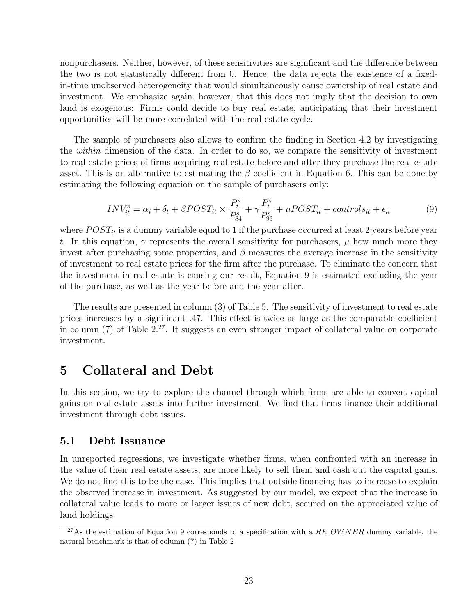nonpurchasers. Neither, however, of these sensitivities are significant and the difference between the two is not statistically different from 0. Hence, the data rejects the existence of a fixedin-time unobserved heterogeneity that would simultaneously cause ownership of real estate and investment. We emphasize again, however, that this does not imply that the decision to own land is exogenous: Firms could decide to buy real estate, anticipating that their investment opportunities will be more correlated with the real estate cycle.

The sample of purchasers also allows to confirm the finding in Section 4.2 by investigating the *within* dimension of the data. In order to do so, we compare the sensitivity of investment to real estate prices of firms acquiring real estate before and after they purchase the real estate asset. This is an alternative to estimating the  $\beta$  coefficient in Equation 6. This can be done by estimating the following equation on the sample of purchasers only:

$$
INV_{it}^{s} = \alpha_{i} + \delta_{t} + \beta POST_{it} \times \frac{P_{t}^{s}}{P_{84}^{s}} + \gamma \frac{P_{t}^{s}}{P_{93}^{s}} + \mu POST_{it} + controls_{it} + \epsilon_{it}
$$
(9)

where  $POST_{it}$  is a dummy variable equal to 1 if the purchase occurred at least 2 years before year t. In this equation,  $\gamma$  represents the overall sensitivity for purchasers,  $\mu$  how much more they invest after purchasing some properties, and  $\beta$  measures the average increase in the sensitivity of investment to real estate prices for the firm after the purchase. To eliminate the concern that the investment in real estate is causing our result, Equation 9 is estimated excluding the year of the purchase, as well as the year before and the year after.

The results are presented in column (3) of Table 5. The sensitivity of investment to real estate prices increases by a significant .47. This effect is twice as large as the comparable coefficient in column  $(7)$  of Table  $2<sup>27</sup>$ . It suggests an even stronger impact of collateral value on corporate investment.

# 5 Collateral and Debt

In this section, we try to explore the channel through which firms are able to convert capital gains on real estate assets into further investment. We find that firms finance their additional investment through debt issues.

### 5.1 Debt Issuance

In unreported regressions, we investigate whether firms, when confronted with an increase in the value of their real estate assets, are more likely to sell them and cash out the capital gains. We do not find this to be the case. This implies that outside financing has to increase to explain the observed increase in investment. As suggested by our model, we expect that the increase in collateral value leads to more or larger issues of new debt, secured on the appreciated value of land holdings.

 $^{27}$ As the estimation of Equation 9 corresponds to a specification with a RE OWNER dummy variable, the natural benchmark is that of column (7) in Table 2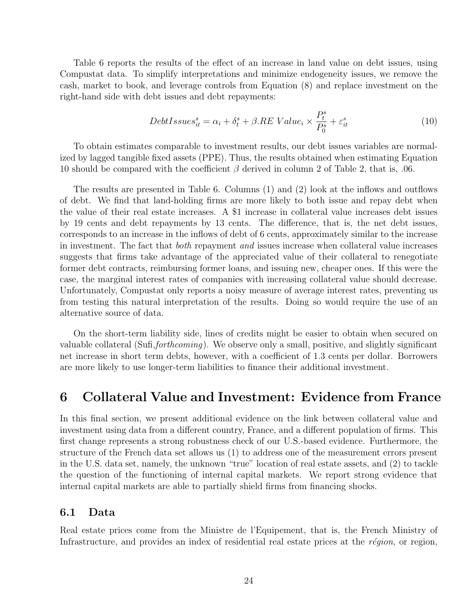Table 6 reports the results of the effect of an increase in land value on debt issues, using Compustat data. To simplify interpretations and minimize endogeneity issues, we remove the cash, market to book, and leverage controls from Equation (8) and replace investment on the right-hand side with debt issues and debt repayments:

$$
DebtIssues_{it}^{s} = \alpha_{i} + \delta_{t}^{s} + \beta_{t}RE\ Value_{i} \times \frac{P_{t}^{s}}{P_{0}^{s}} + \varepsilon_{it}^{s}
$$
\n
$$
\tag{10}
$$

To obtain estimates comparable to investment results, our debt issues variables are normalized by lagged tangible fixed assets (PPE). Thus, the results obtained when estimating Equation 10 should be compared with the coefficient  $\beta$  derived in column 2 of Table 2, that is, .06.

The results are presented in Table 6. Columns (1) and (2) look at the inflows and outflows of debt. We find that land-holding firms are more likely to both issue and repay debt when the value of their real estate increases. A \$1 increase in collateral value increases debt issues by 19 cents and debt repayments by 13 cents. The difference, that is, the net debt issues, corresponds to an increase in the inflows of debt of 6 cents, approximately similar to the increase in investment. The fact that *both* repayment *and* issues increase when collateral value increases suggests that firms take advantage of the appreciated value of their collateral to renegotiate former debt contracts, reimbursing former loans, and issuing new, cheaper ones. If this were the case, the marginal interest rates of companies with increasing collateral value should decrease. Unfortunately, Compustat only reports a noisy measure of average interest rates, preventing us from testing this natural interpretation of the results. Doing so would require the use of an alternative source of data.

On the short-term liability side, lines of credits might be easier to obtain when secured on valuable collateral (Sufi,forthcoming). We observe only a small, positive, and slightly significant net increase in short term debts, however, with a coefficient of 1.3 cents per dollar. Borrowers are more likely to use longer-term liabilities to finance their additional investment.

# 6 Collateral Value and Investment: Evidence from France

In this final section, we present additional evidence on the link between collateral value and investment using data from a different country, France, and a different population of firms. This first change represents a strong robustness check of our U.S.-based evidence. Furthermore, the structure of the French data set allows us (1) to address one of the measurement errors present in the U.S. data set, namely, the unknown "true" location of real estate assets, and (2) to tackle the question of the functioning of internal capital markets. We report strong evidence that internal capital markets are able to partially shield firms from financing shocks.

### 6.1 Data

Real estate prices come from the Ministre de l'Equipement, that is, the French Ministry of Infrastructure, and provides an index of residential real estate prices at the  $r\acute{e}gion$ , or region,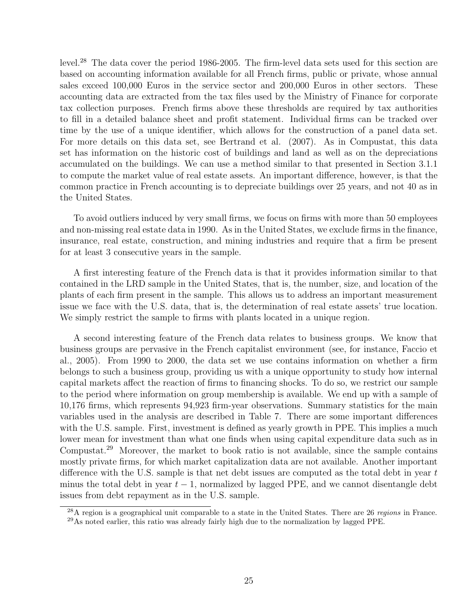level.<sup>28</sup> The data cover the period 1986-2005. The firm-level data sets used for this section are based on accounting information available for all French firms, public or private, whose annual sales exceed 100,000 Euros in the service sector and 200,000 Euros in other sectors. These accounting data are extracted from the tax files used by the Ministry of Finance for corporate tax collection purposes. French firms above these thresholds are required by tax authorities to fill in a detailed balance sheet and profit statement. Individual firms can be tracked over time by the use of a unique identifier, which allows for the construction of a panel data set. For more details on this data set, see Bertrand et al. (2007). As in Compustat, this data set has information on the historic cost of buildings and land as well as on the depreciations accumulated on the buildings. We can use a method similar to that presented in Section 3.1.1 to compute the market value of real estate assets. An important difference, however, is that the common practice in French accounting is to depreciate buildings over 25 years, and not 40 as in the United States.

To avoid outliers induced by very small firms, we focus on firms with more than 50 employees and non-missing real estate data in 1990. As in the United States, we exclude firms in the finance, insurance, real estate, construction, and mining industries and require that a firm be present for at least 3 consecutive years in the sample.

A first interesting feature of the French data is that it provides information similar to that contained in the LRD sample in the United States, that is, the number, size, and location of the plants of each firm present in the sample. This allows us to address an important measurement issue we face with the U.S. data, that is, the determination of real estate assets' true location. We simply restrict the sample to firms with plants located in a unique region.

A second interesting feature of the French data relates to business groups. We know that business groups are pervasive in the French capitalist environment (see, for instance, Faccio et al., 2005). From 1990 to 2000, the data set we use contains information on whether a firm belongs to such a business group, providing us with a unique opportunity to study how internal capital markets affect the reaction of firms to financing shocks. To do so, we restrict our sample to the period where information on group membership is available. We end up with a sample of 10,176 firms, which represents 94,923 firm-year observations. Summary statistics for the main variables used in the analysis are described in Table 7. There are some important differences with the U.S. sample. First, investment is defined as yearly growth in PPE. This implies a much lower mean for investment than what one finds when using capital expenditure data such as in Compustat.<sup>29</sup> Moreover, the market to book ratio is not available, since the sample contains mostly private firms, for which market capitalization data are not available. Another important difference with the U.S. sample is that net debt issues are computed as the total debt in year  $t$ minus the total debt in year  $t - 1$ , normalized by lagged PPE, and we cannot disentangle debt issues from debt repayment as in the U.S. sample.

 $\frac{28}{10}$  region is a geographical unit comparable to a state in the United States. There are 26 regions in France. <sup>29</sup>As noted earlier, this ratio was already fairly high due to the normalization by lagged PPE.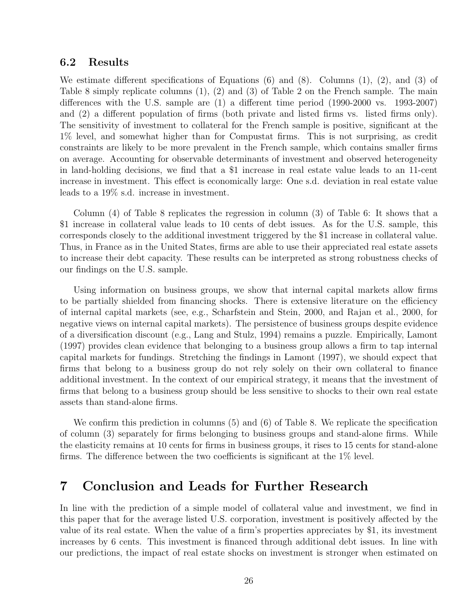### 6.2 Results

We estimate different specifications of Equations (6) and (8). Columns (1), (2), and (3) of Table 8 simply replicate columns (1), (2) and (3) of Table 2 on the French sample. The main differences with the U.S. sample are (1) a different time period (1990-2000 vs. 1993-2007) and (2) a different population of firms (both private and listed firms vs. listed firms only). The sensitivity of investment to collateral for the French sample is positive, significant at the 1% level, and somewhat higher than for Compustat firms. This is not surprising, as credit constraints are likely to be more prevalent in the French sample, which contains smaller firms on average. Accounting for observable determinants of investment and observed heterogeneity in land-holding decisions, we find that a \$1 increase in real estate value leads to an 11-cent increase in investment. This effect is economically large: One s.d. deviation in real estate value leads to a 19% s.d. increase in investment.

Column (4) of Table 8 replicates the regression in column (3) of Table 6: It shows that a \$1 increase in collateral value leads to 10 cents of debt issues. As for the U.S. sample, this corresponds closely to the additional investment triggered by the \$1 increase in collateral value. Thus, in France as in the United States, firms are able to use their appreciated real estate assets to increase their debt capacity. These results can be interpreted as strong robustness checks of our findings on the U.S. sample.

Using information on business groups, we show that internal capital markets allow firms to be partially shielded from financing shocks. There is extensive literature on the efficiency of internal capital markets (see, e.g., Scharfstein and Stein, 2000, and Rajan et al., 2000, for negative views on internal capital markets). The persistence of business groups despite evidence of a diversification discount (e.g., Lang and Stulz, 1994) remains a puzzle. Empirically, Lamont (1997) provides clean evidence that belonging to a business group allows a firm to tap internal capital markets for fundings. Stretching the findings in Lamont (1997), we should expect that firms that belong to a business group do not rely solely on their own collateral to finance additional investment. In the context of our empirical strategy, it means that the investment of firms that belong to a business group should be less sensitive to shocks to their own real estate assets than stand-alone firms.

We confirm this prediction in columns (5) and (6) of Table 8. We replicate the specification of column (3) separately for firms belonging to business groups and stand-alone firms. While the elasticity remains at 10 cents for firms in business groups, it rises to 15 cents for stand-alone firms. The difference between the two coefficients is significant at the 1% level.

# 7 Conclusion and Leads for Further Research

In line with the prediction of a simple model of collateral value and investment, we find in this paper that for the average listed U.S. corporation, investment is positively affected by the value of its real estate. When the value of a firm's properties appreciates by \$1, its investment increases by 6 cents. This investment is financed through additional debt issues. In line with our predictions, the impact of real estate shocks on investment is stronger when estimated on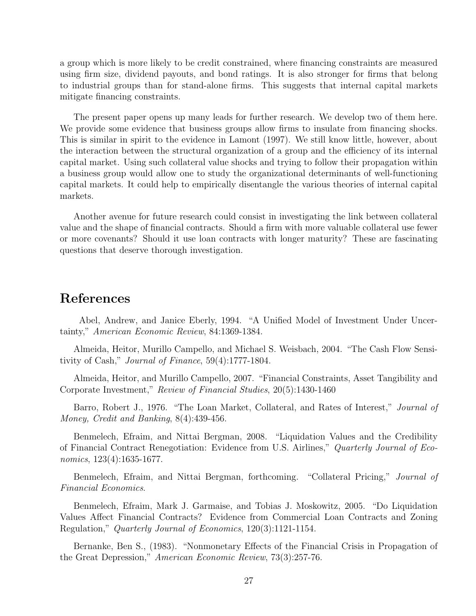a group which is more likely to be credit constrained, where financing constraints are measured using firm size, dividend payouts, and bond ratings. It is also stronger for firms that belong to industrial groups than for stand-alone firms. This suggests that internal capital markets mitigate financing constraints.

The present paper opens up many leads for further research. We develop two of them here. We provide some evidence that business groups allow firms to insulate from financing shocks. This is similar in spirit to the evidence in Lamont (1997). We still know little, however, about the interaction between the structural organization of a group and the efficiency of its internal capital market. Using such collateral value shocks and trying to follow their propagation within a business group would allow one to study the organizational determinants of well-functioning capital markets. It could help to empirically disentangle the various theories of internal capital markets.

Another avenue for future research could consist in investigating the link between collateral value and the shape of financial contracts. Should a firm with more valuable collateral use fewer or more covenants? Should it use loan contracts with longer maturity? These are fascinating questions that deserve thorough investigation.

# References

Abel, Andrew, and Janice Eberly, 1994. "A Unified Model of Investment Under Uncertainty," American Economic Review, 84:1369-1384.

Almeida, Heitor, Murillo Campello, and Michael S. Weisbach, 2004. "The Cash Flow Sensitivity of Cash," Journal of Finance, 59(4):1777-1804.

Almeida, Heitor, and Murillo Campello, 2007. "Financial Constraints, Asset Tangibility and Corporate Investment," Review of Financial Studies, 20(5):1430-1460

Barro, Robert J., 1976. "The Loan Market, Collateral, and Rates of Interest," *Journal of* Money, Credit and Banking, 8(4):439-456.

Benmelech, Efraim, and Nittai Bergman, 2008. "Liquidation Values and the Credibility of Financial Contract Renegotiation: Evidence from U.S. Airlines," Quarterly Journal of Economics, 123(4):1635-1677.

Benmelech, Efraim, and Nittai Bergman, forthcoming. "Collateral Pricing," *Journal of* Financial Economics.

Benmelech, Efraim, Mark J. Garmaise, and Tobias J. Moskowitz, 2005. "Do Liquidation Values Affect Financial Contracts? Evidence from Commercial Loan Contracts and Zoning Regulation," Quarterly Journal of Economics, 120(3):1121-1154.

Bernanke, Ben S., (1983). "Nonmonetary Effects of the Financial Crisis in Propagation of the Great Depression," American Economic Review, 73(3):257-76.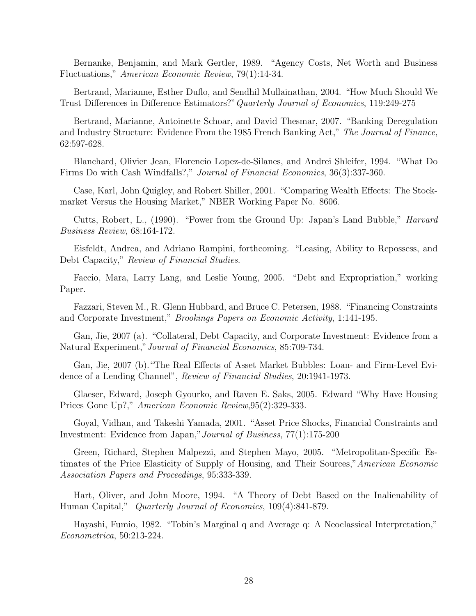Bernanke, Benjamin, and Mark Gertler, 1989. "Agency Costs, Net Worth and Business Fluctuations," American Economic Review, 79(1):14-34.

Bertrand, Marianne, Esther Duflo, and Sendhil Mullainathan, 2004. "How Much Should We Trust Differences in Difference Estimators?"Quarterly Journal of Economics, 119:249-275

Bertrand, Marianne, Antoinette Schoar, and David Thesmar, 2007. "Banking Deregulation and Industry Structure: Evidence From the 1985 French Banking Act," The Journal of Finance, 62:597-628.

Blanchard, Olivier Jean, Florencio Lopez-de-Silanes, and Andrei Shleifer, 1994. "What Do Firms Do with Cash Windfalls?," *Journal of Financial Economics*, 36(3):337-360.

Case, Karl, John Quigley, and Robert Shiller, 2001. "Comparing Wealth Effects: The Stockmarket Versus the Housing Market," NBER Working Paper No. 8606.

Cutts, Robert, L., (1990). "Power from the Ground Up: Japan's Land Bubble," *Harvard* Business Review, 68:164-172.

Eisfeldt, Andrea, and Adriano Rampini, forthcoming. "Leasing, Ability to Repossess, and Debt Capacity," Review of Financial Studies.

Faccio, Mara, Larry Lang, and Leslie Young, 2005. "Debt and Expropriation," working Paper.

Fazzari, Steven M., R. Glenn Hubbard, and Bruce C. Petersen, 1988. "Financing Constraints and Corporate Investment," Brookings Papers on Economic Activity, 1:141-195.

Gan, Jie, 2007 (a). "Collateral, Debt Capacity, and Corporate Investment: Evidence from a Natural Experiment,"Journal of Financial Economics, 85:709-734.

Gan, Jie, 2007 (b)."The Real Effects of Asset Market Bubbles: Loan- and Firm-Level Evidence of a Lending Channel", Review of Financial Studies, 20:1941-1973.

Glaeser, Edward, Joseph Gyourko, and Raven E. Saks, 2005. Edward "Why Have Housing Prices Gone Up?," American Economic Review,95(2):329-333.

Goyal, Vidhan, and Takeshi Yamada, 2001. "Asset Price Shocks, Financial Constraints and Investment: Evidence from Japan,"Journal of Business, 77(1):175-200

Green, Richard, Stephen Malpezzi, and Stephen Mayo, 2005. "Metropolitan-Specific Estimates of the Price Elasticity of Supply of Housing, and Their Sources,"American Economic Association Papers and Proceedings, 95:333-339.

Hart, Oliver, and John Moore, 1994. "A Theory of Debt Based on the Inalienability of Human Capital," *Quarterly Journal of Economics*, 109(4):841-879.

Hayashi, Fumio, 1982. "Tobin's Marginal q and Average q: A Neoclassical Interpretation," Econometrica, 50:213-224.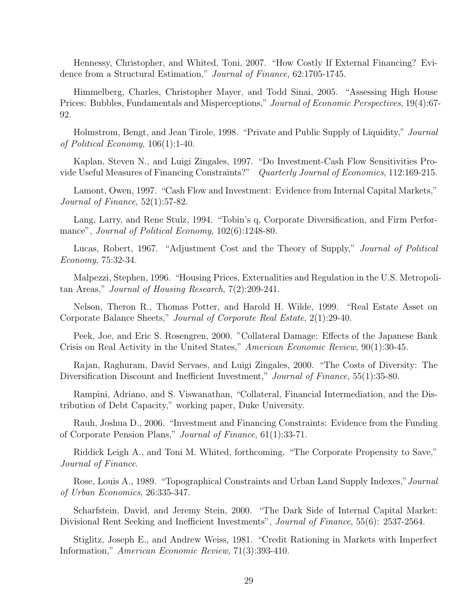Hennessy, Christopher, and Whited, Toni, 2007. "How Costly If External Financing? Evidence from a Structural Estimation," Journal of Finance, 62:1705-1745.

Himmelberg, Charles, Christopher Mayer, and Todd Sinai, 2005. "Assessing High House Prices: Bubbles, Fundamentals and Misperceptions," Journal of Economic Perspectives, 19(4):67-92.

Holmstrom, Bengt, and Jean Tirole, 1998. "Private and Public Supply of Liquidity," Journal of Political Economy, 106(1):1-40.

Kaplan, Steven N., and Luigi Zingales, 1997. "Do Investment-Cash Flow Sensitivities Provide Useful Measures of Financing Constraints?" Quarterly Journal of Economics, 112:169-215.

Lamont, Owen, 1997. "Cash Flow and Investment: Evidence from Internal Capital Markets," Journal of Finance, 52(1):57-82.

Lang, Larry, and Rene Stulz, 1994. "Tobin's q, Corporate Diversification, and Firm Performance", Journal of Political Economy, 102(6):1248-80.

Lucas, Robert, 1967. "Adjustment Cost and the Theory of Supply," Journal of Political Economy, 75:32-34.

Malpezzi, Stephen, 1996. "Housing Prices, Externalities and Regulation in the U.S. Metropolitan Areas," Journal of Housing Research, 7(2):209-241.

Nelson, Theron R., Thomas Potter, and Harold H. Wilde, 1999. "Real Estate Asset on Corporate Balance Sheets," Journal of Corporate Real Estate, 2(1):29-40.

Peek, Joe, and Eric S. Rosengren, 2000. "Collateral Damage: Effects of the Japanese Bank Crisis on Real Activity in the United States," American Economic Review, 90(1):30-45.

Rajan, Raghuram, David Servaes, and Luigi Zingales, 2000. "The Costs of Diversity: The Diversification Discount and Inefficient Investment," Journal of Finance, 55(1):35-80.

Rampini, Adriano, and S. Viswanathan, "Collateral, Financial Intermediation, and the Distribution of Debt Capacity," working paper, Duke University.

Rauh, Joshua D., 2006. "Investment and Financing Constraints: Evidence from the Funding of Corporate Pension Plans," Journal of Finance, 61(1):33-71.

Riddick Leigh A., and Toni M. Whited, forthcoming. "The Corporate Propensity to Save," Journal of Finance.

Rose, Louis A., 1989. "Topographical Constraints and Urban Land Supply Indexes,"Journal of Urban Economics, 26:335-347.

Scharfstein, David, and Jeremy Stein, 2000. "The Dark Side of Internal Capital Market: Divisional Rent Seeking and Inefficient Investments", *Journal of Finance*, 55(6): 2537-2564.

Stiglitz, Joseph E., and Andrew Weiss, 1981. "Credit Rationing in Markets with Imperfect Information," American Economic Review, 71(3):393-410.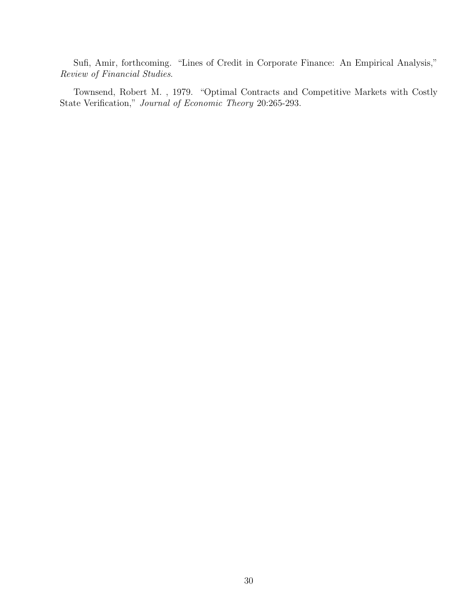Sufi, Amir, forthcoming. "Lines of Credit in Corporate Finance: An Empirical Analysis," Review of Financial Studies.

Townsend, Robert M. , 1979. "Optimal Contracts and Competitive Markets with Costly State Verification," Journal of Economic Theory 20:265-293.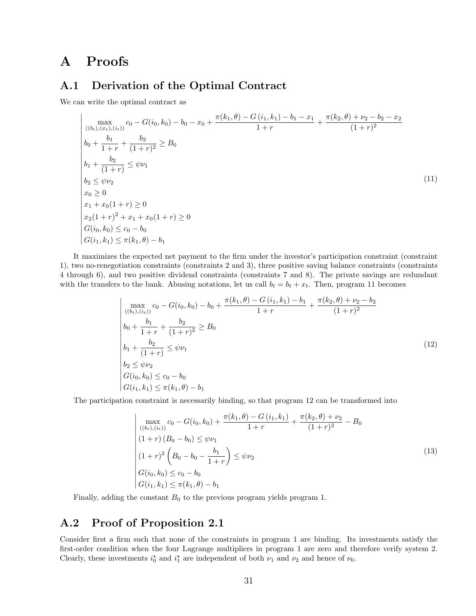# A Proofs

### A.1 Derivation of the Optimal Contract

We can write the optimal contract as

$$
\begin{aligned}\n&\max_{((b_t),(x_t),(i_t))} c_0 - G(i_0,k_0) - b_0 - x_0 + \frac{\pi(k_1,\theta) - G(i_1,k_1) - b_1 - x_1}{1+r} + \frac{\pi(k_2,\theta) + \nu_2 - b_2 - x_2}{(1+r)^2} \\
&\frac{b_0 + \frac{b_1}{1+r} + \frac{b_2}{(1+r)^2} \ge B_0}{(1+r)^2} \\
&\frac{b_2}{1+r} \le \psi \nu_1 \\
&\frac{b_2}{1+r} \le \psi \nu_2 \\
&\frac{x_0 \ge 0}{x_1 + x_0(1+r) \ge 0} \\
&\frac{x_2(1+r)^2 + x_1 + x_0(1+r) \ge 0}{G(i_0,k_0) \le c_0 - b_0} \\
&\frac{G(i_0,k_0) \le c_0 - b_0}{G(i_1,k_1) \le \pi(k_1,\theta) - b_1}\n\end{aligned}
$$
\n(11)

It maximizes the expected net payment to the firm under the investor's participation constraint (constraint 1), two no-renegotiation constraints (constraints 2 and 3), three positive saving balance constraints (constraints 4 through 6), and two positive dividend constraints (constraints 7 and 8). The private savings are redundant with the transfers to the bank. Abusing notations, let us call  $b_t = b_t + x_t$ . Then, program 11 becomes

$$
\begin{vmatrix}\n\max_{((b_t),(i_t))} c_0 - G(i_0,k_0) - b_0 + \frac{\pi(k_1,\theta) - G(i_1,k_1) - b_1}{1+r} + \frac{\pi(k_2,\theta) + \nu_2 - b_2}{(1+r)^2} \\
b_0 + \frac{b_1}{1+r} + \frac{b_2}{(1+r)^2} \ge B_0 \\
b_1 + \frac{b_2}{(1+r)} \le \psi \nu_1 \\
b_2 \le \psi \nu_2 \\
G(i_0,k_0) \le c_0 - b_0 \\
G(i_1,k_1) \le \pi(k_1,\theta) - b_1\n\end{vmatrix}
$$
\n(12)

The participation constraint is necessarily binding, so that program 12 can be transformed into

$$
\begin{vmatrix}\n\max_{((b_t),(i_t))} c_0 - G(i_0,k_0) + \frac{\pi(k_1,\theta) - G(i_1,k_1)}{1+r} + \frac{\pi(k_2,\theta) + \nu_2}{(1+r)^2} - B_0 \\
(1+r)(B_0 - b_0) \leq \psi \nu_1 \\
(1+r)^2 \left(B_0 - b_0 - \frac{b_1}{1+r}\right) \leq \psi \nu_2 \\
G(i_0,k_0) \leq c_0 - b_0 \\
G(i_1,k_1) \leq \pi(k_1,\theta) - b_1\n\end{vmatrix}
$$
\n(13)

Finally, adding the constant  $B_0$  to the previous program yields program 1.

# A.2 Proof of Proposition 2.1

Consider first a firm such that none of the constraints in program 1 are binding. Its investments satisfy the first-order condition when the four Lagrange multipliers in program 1 are zero and therefore verify system 2. Clearly, these investments  $i_0^*$  and  $i_1^*$  are independent of both  $\nu_1$  and  $\nu_2$  and hence of  $\nu_0$ .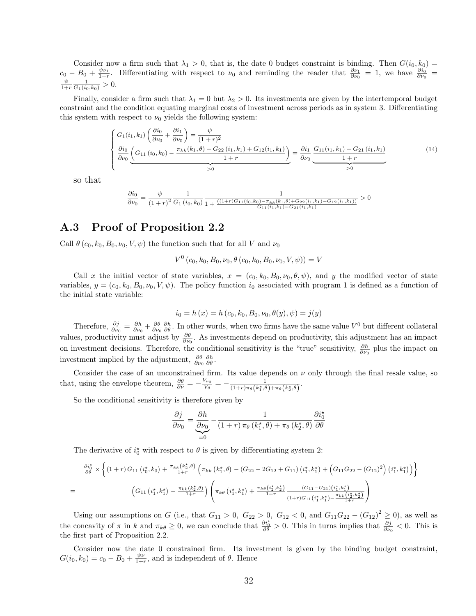Consider now a firm such that  $\lambda_1 > 0$ , that is, the date 0 budget constraint is binding. Then  $G(i_0, k_0)$  $c_0 - B_0 + \frac{\psi \nu_1}{1+r}$ . Differentiating with respect to  $\nu_0$  and reminding the reader that  $\frac{\partial \nu_1}{\partial \nu_0} = 1$ , we have  $\frac{\partial i_0}{\partial \nu_0} =$  $\frac{\psi}{1+r} \frac{1}{G_1(i_0,k_0)} > 0.$ 

Finally, consider a firm such that  $\lambda_1 = 0$  but  $\lambda_2 > 0$ . Its investments are given by the intertemporal budget constraint and the condition equating marginal costs of investment across periods as in system 3. Differentiating this system with respect to  $\nu_0$  yields the following system:

$$
\begin{cases}\nG_1(i_1, k_1) \left( \frac{\partial i_0}{\partial \nu_0} + \frac{\partial i_1}{\partial \nu_0} \right) = \frac{\psi}{(1+r)^2} \\
\frac{\partial i_0}{\partial \nu_0} \left( G_{11}(i_0, k_0) - \frac{\pi_{kk}(k_1, \theta) - G_{22}(i_1, k_1) + G_{12}(i_1, k_1)}{1+r} \right) = \frac{\partial i_1}{\partial \nu_0} \underbrace{G_{11}(i_1, k_1) - G_{21}(i_1, k_1)}_{1+r} \\
\end{cases} (14)
$$

so that

=

$$
\frac{\partial i_0}{\partial \nu_0} = \frac{\psi}{(1+r)^2} \frac{1}{G_1(i_0, k_0)} \frac{1}{1 + \frac{((1+r)G_{11}(i_0, k_0) - \pi_{kk}(k_1, \theta) + G_{22}(i_1, k_1) - G_{12}(i_1, k_1))}{G_{11}(i_1, k_1) - G_{21}(i_1, k_1)}} > 0
$$

# A.3 Proof of Proposition 2.2

Call  $\theta$  (c<sub>0</sub>, k<sub>0</sub>, B<sub>0</sub>,  $\nu$ <sub>0</sub>, V,  $\psi$ ) the function such that for all V and  $\nu$ <sub>0</sub>

$$
V^{0}\left(c_{0},k_{0},B_{0},\nu_{0},\theta\left(c_{0},k_{0},B_{0},\nu_{0},V,\psi\right)\right)=V
$$

Call x the initial vector of state variables,  $x = (c_0, k_0, B_0, \nu_0, \theta, \psi)$ , and y the modified vector of state variables,  $y = (c_0, k_0, B_0, \nu_0, V, \psi)$ . The policy function  $i_0$  associated with program 1 is defined as a function of the initial state variable:

$$
i_0 = h(x) = h(c_0, k_0, B_0, \nu_0, \theta(y), \psi) = j(y)
$$

Therefore,  $\frac{\partial j}{\partial \nu_0} = \frac{\partial h}{\partial \nu_0} + \frac{\partial \theta}{\partial \nu_0} \frac{\partial h}{\partial \theta}$ . In other words, when two firms have the same value  $V^0$  but different collateral values, productivity must adjust by  $\frac{\partial \theta}{\partial \nu_0}$ . As investments depend on productivity, this adjustment has an impact on investment decisions. Therefore, the conditional sensitivity is the "true" sensitivity,  $\frac{\partial h}{\partial v_0}$  plus the impact on investment implied by the adjustment,  $\frac{\partial \theta}{\partial \nu_0} \frac{\partial h}{\partial \theta}$ .

Consider the case of an unconstrained firm. Its value depends on  $\nu$  only through the final resale value, so that, using the envelope theorem,  $\frac{\partial \theta}{\partial \nu} = -\frac{V_{\nu_0}}{V_{\theta}} = -\frac{1}{(1+r)\pi_{\theta}(k_1^*,\theta)+\pi_{\theta}(k_2^*,\theta)}$ .

So the conditional sensitivity is therefore given by

$$
\frac{\partial j}{\partial \nu_0} = \underbrace{\frac{\partial h}{\partial \nu_0}}_{=0} - \frac{1}{(1+r)\,\pi_\theta\left(k_1^\star,\theta\right) + \pi_\theta\left(k_2^\star,\theta\right)} \frac{\partial i_0^\star}{\partial \theta}
$$

The derivative of  $i_0^*$  with respect to  $\theta$  is given by differentiating system 2:

$$
\frac{\partial i_0^*}{\partial \theta} \times \left\{ (1+r) G_{11} (i_0^*, k_0) + \frac{\pi_{kk} (k_2^*, \theta)}{1+r} \left( \pi_{kk} (k_1^*, \theta) - (G_{22} - 2G_{12} + G_{11}) (i_1^*, k_1^*) + (G_{11} G_{22} - (G_{12})^2) (i_1^*, k_1^*) \right) \right\}
$$

$$
(G_{11} (i_1^*, k_1^*) - \frac{\pi_{kk} (k_2^*, \theta)}{1+r}) \left( \pi_{k\theta} (i_1^*, k_1^*) + \frac{\pi_{k\theta} (i_2^*, k_2^*)}{1+r} \frac{(G_{11} - G_{21}) (i_1^*, k_1^*)}{(1+r)G_{11} (i_1^*, k_1^*) - \frac{\pi_{kk} (i_2^*, k_2^*)}{1+r}} \right)
$$

Using our assumptions on G (i.e., that  $G_{11} > 0$ ,  $G_{22} > 0$ ,  $G_{12} < 0$ , and  $G_{11}G_{22} - (G_{12})^2 \ge 0$ ), as well as the concavity of  $\pi$  in k and  $\pi_{k\theta} \geq 0$ , we can conclude that  $\frac{\partial i^*_{\theta}}{\partial \theta} > 0$ . This in turns implies that  $\frac{\partial j}{\partial \nu_0} < 0$ . This is the first part of Proposition 2.2.

Consider now the date 0 constrained firm. Its investment is given by the binding budget constraint,  $G(i_0, k_0) = c_0 - B_0 + \frac{\psi \nu}{1+r}$ , and is independent of  $\theta$ . Hence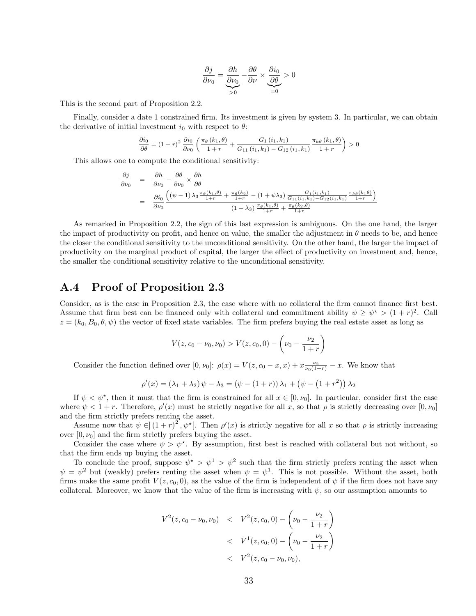$$
\frac{\partial j}{\partial \nu_0} = \underbrace{\frac{\partial h}{\partial \nu_0}}_{>0} - \frac{\partial \theta}{\partial \nu} \times \underbrace{\frac{\partial i_0}{\partial \theta}}_{=0} > 0
$$

This is the second part of Proposition 2.2.

Finally, consider a date 1 constrained firm. Its investment is given by system 3. In particular, we can obtain the derivative of initial investment  $i_0$  with respect to  $\theta$ :

$$
\frac{\partial i_{0}}{\partial \theta} = (1+r)^{2} \frac{\partial i_{0}}{\partial \nu_{0}} \left( \frac{\pi_{\theta} (k_{1}, \theta)}{1+r} + \frac{G_{1} (i_{1}, k_{1})}{G_{11} (i_{1}, k_{1}) - G_{12} (i_{1}, k_{1})} \frac{\pi_{k\theta} (k_{1}, \theta)}{1+r} \right) > 0
$$

This allows one to compute the conditional sensitivity:

$$
\frac{\partial j}{\partial \nu_0} = \frac{\partial h}{\partial \nu_0} - \frac{\partial \theta}{\partial \nu_0} \times \frac{\partial h}{\partial \theta}
$$
\n
$$
= \frac{\partial i_0}{\partial \nu_0} \frac{\left( (\psi - 1) \lambda_3 \frac{\pi_\theta(k_1, \theta)}{1 + r} + \frac{\pi_\theta(k_2)}{1 + r} - (1 + \psi \lambda_3) \frac{G_1(i_1, k_1)}{G_{11}(i_1, k_1) - G_{12}(i_1, k_1)} \frac{\pi_k \theta(k_1, \theta)}{1 + r} \right)}{(1 + \lambda_3) \frac{\pi_\theta(k_1, \theta)}{1 + r} + \frac{\pi_\theta(k_2, \theta)}{1 + r}}
$$

As remarked in Proposition 2.2, the sign of this last expression is ambiguous. On the one hand, the larger the impact of productivity on profit, and hence on value, the smaller the adjustment in  $\theta$  needs to be, and hence the closer the conditional sensitivity to the unconditional sensitivity. On the other hand, the larger the impact of productivity on the marginal product of capital, the larger the effect of productivity on investment and, hence, the smaller the conditional sensitivity relative to the unconditional sensitivity.

# A.4 Proof of Proposition 2.3

Consider, as is the case in Proposition 2.3, the case where with no collateral the firm cannot finance first best. Assume that firm best can be financed only with collateral and commitment ability  $\psi \geq \psi^* > (1+r)^2$ . Call  $z = (k_0, B_0, \theta, \psi)$  the vector of fixed state variables. The firm prefers buying the real estate asset as long as

$$
V(z, c_0 - \nu_0, \nu_0) > V(z, c_0, 0) - \left(\nu_0 - \frac{\nu_2}{1+r}\right)
$$

Consider the function defined over  $[0, \nu_0]$ :  $\rho(x) = V(z, c_0 - x, x) + x \frac{\nu_2}{\nu_0(1+r)} - x$ . We know that

$$
\rho'(x) = (\lambda_1 + \lambda_2)\psi - \lambda_3 = (\psi - (1+r))\lambda_1 + (\psi - (1+r^2))\lambda_2
$$

If  $\psi < \psi^*$ , then it must that the firm is constrained for all  $x \in [0, \nu_0]$ . In particular, consider first the case where  $\psi < 1 + r$ . Therefore,  $\rho'(x)$  must be strictly negative for all x, so that  $\rho$  is strictly decreasing over  $[0, \nu_0]$ and the firm strictly prefers renting the asset.

Assume now that  $\psi \in (1+r)^2$ ,  $\psi^*$ . Then  $\rho'(x)$  is strictly negative for all x so that  $\rho$  is strictly increasing over  $[0, \nu_0]$  and the firm strictly prefers buying the asset.

Consider the case where  $\psi > \psi^*$ . By assumption, first best is reached with collateral but not without, so that the firm ends up buying the asset.

To conclude the proof, suppose  $\psi^* > \psi^1 > \psi^2$  such that the firm strictly prefers renting the asset when  $\psi = \psi^2$  but (weakly) prefers renting the asset when  $\psi = \psi^1$ . This is not possible. Without the asset, both firms make the same profit  $V(z, c_0, 0)$ , as the value of the firm is independent of  $\psi$  if the firm does not have any collateral. Moreover, we know that the value of the firm is increasing with  $\psi$ , so our assumption amounts to

$$
V^{2}(z, c_{0} - \nu_{0}, \nu_{0}) \quad < \quad V^{2}(z, c_{0}, 0) - \left(\nu_{0} - \frac{\nu_{2}}{1+r}\right) \\
 < \quad V^{1}(z, c_{0}, 0) - \left(\nu_{0} - \frac{\nu_{2}}{1+r}\right) \\
 < \quad V^{2}(z, c_{0} - \nu_{0}, \nu_{0}),
$$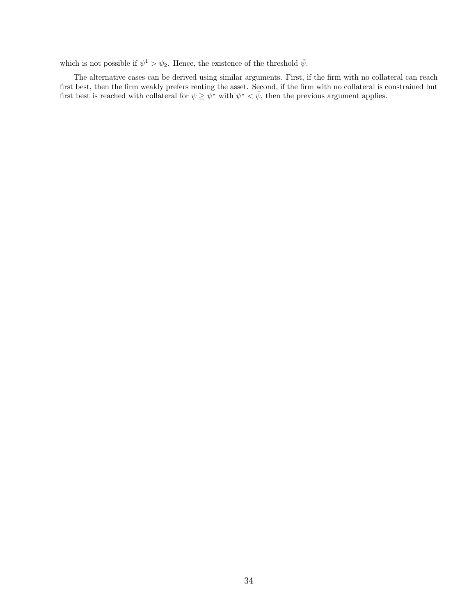which is not possible if  $\psi^1 > \psi_2$ . Hence, the existence of the threshold  $\bar{\psi}$ .

The alternative cases can be derived using similar arguments. First, if the firm with no collateral can reach first best, then the firm weakly prefers renting the asset. Second, if the firm with no collateral is constrained but first best is reached with collateral for  $\psi \geq \psi^*$  with  $\psi^* < \bar{\psi}$ , then the previous argument applies.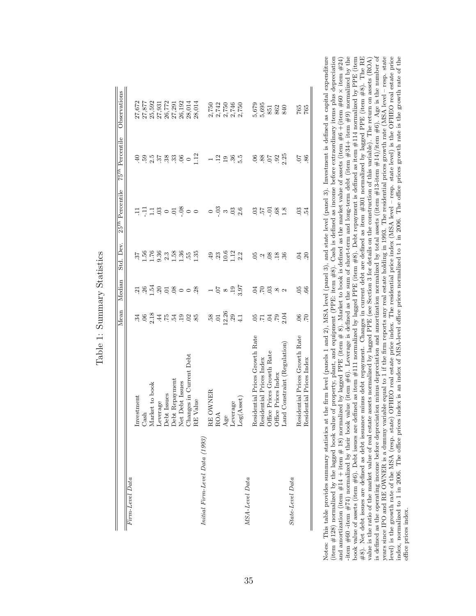|                                |                                                       | Mean                                                                                                                                                                                                                                                                                                                | Median                             | Std. Dev.                                  | 25 <sup>th</sup> Percentile                                           | 75 <sup>th</sup> Percentile | Observations                     |
|--------------------------------|-------------------------------------------------------|---------------------------------------------------------------------------------------------------------------------------------------------------------------------------------------------------------------------------------------------------------------------------------------------------------------------|------------------------------------|--------------------------------------------|-----------------------------------------------------------------------|-----------------------------|----------------------------------|
| Firm-Level Data                |                                                       |                                                                                                                                                                                                                                                                                                                     |                                    |                                            |                                                                       |                             |                                  |
|                                | Investment                                            |                                                                                                                                                                                                                                                                                                                     |                                    |                                            |                                                                       | $\ddot{=}$                  | 27,672                           |
|                                | $\mathrm{Cash}$                                       |                                                                                                                                                                                                                                                                                                                     |                                    |                                            | Ę                                                                     |                             |                                  |
|                                | Market to book                                        |                                                                                                                                                                                                                                                                                                                     |                                    | $37$<br>$1.56$<br>$1.76$<br>$9.36$         |                                                                       |                             | 27,877<br>25,592                 |
|                                | Leverage                                              | $\frac{1}{2}$ $\frac{1}{2}$ $\frac{1}{2}$ $\frac{1}{2}$ $\frac{1}{2}$ $\frac{1}{2}$ $\frac{1}{2}$ $\frac{1}{2}$ $\frac{1}{2}$ $\frac{1}{2}$ $\frac{1}{2}$ $\frac{1}{2}$ $\frac{1}{2}$ $\frac{1}{2}$ $\frac{1}{2}$ $\frac{1}{2}$ $\frac{1}{2}$ $\frac{1}{2}$ $\frac{1}{2}$ $\frac{1}{2}$ $\frac{1}{2}$ $\frac{1}{2}$ | <u>ដនុង្គីនន់ទូ</u> ់ទី ខ្ញ        |                                            | $\frac{1}{2}$ 8 $\circ$ 8                                             | 5 5 5 8 5 5 6               | 27,931                           |
|                                |                                                       |                                                                                                                                                                                                                                                                                                                     |                                    |                                            |                                                                       |                             | 26,772                           |
|                                | Debt Issues<br>Debt Repayment                         |                                                                                                                                                                                                                                                                                                                     |                                    | $2.3$<br>1.58                              |                                                                       |                             | 27,291                           |
|                                | Net Debt Issues                                       |                                                                                                                                                                                                                                                                                                                     |                                    | 1.36                                       |                                                                       |                             | 26,192                           |
|                                | Changes in Current Debt                               |                                                                                                                                                                                                                                                                                                                     |                                    | 55.                                        |                                                                       | $\circ$                     | 28,014                           |
|                                | Value<br>$\mathbf{R} \mathbf{E}$                      |                                                                                                                                                                                                                                                                                                                     |                                    | 1.35                                       | $\frac{8}{1}$ 0 0                                                     | 1.12                        | 28,014                           |
| Initial Firm-Level Data (1993) |                                                       |                                                                                                                                                                                                                                                                                                                     |                                    |                                            |                                                                       |                             |                                  |
|                                | OWNER<br>$\mathbf{R} \mathbf{E}$                      | $.58$<br>$.01$<br>$.26$                                                                                                                                                                                                                                                                                             | $76.897$<br>6.9 $\%$               |                                            | $\overline{\phantom{0}}$                                              |                             | 2,750                            |
|                                | ROA                                                   |                                                                                                                                                                                                                                                                                                                     |                                    | $\frac{49}{33}$ 0.6                        | $\frac{3}{1}$ $\frac{3}{1}$ $\frac{3}{1}$ $\frac{3}{1}$ $\frac{3}{1}$ | $-29$                       | 2,742<br>2,750<br>2,750<br>2,750 |
|                                |                                                       |                                                                                                                                                                                                                                                                                                                     |                                    |                                            |                                                                       |                             |                                  |
|                                | Age<br>Leverage                                       | $29$                                                                                                                                                                                                                                                                                                                |                                    | $\begin{array}{c} 1.12 \\ 2.2 \end{array}$ |                                                                       | $36\frac{15}{10}$           |                                  |
|                                | Log(A <sub>sset</sub> )                               | 4.1                                                                                                                                                                                                                                                                                                                 |                                    |                                            |                                                                       |                             |                                  |
| MSA-Level Data                 |                                                       |                                                                                                                                                                                                                                                                                                                     |                                    |                                            |                                                                       |                             |                                  |
|                                | Residential Prices Growth Rate                        |                                                                                                                                                                                                                                                                                                                     |                                    |                                            |                                                                       |                             |                                  |
|                                | Residential Prices Index<br>Office Prices Growth Rate |                                                                                                                                                                                                                                                                                                                     |                                    |                                            | $\frac{1}{2}$ go                                                      | 885                         |                                  |
|                                |                                                       |                                                                                                                                                                                                                                                                                                                     |                                    |                                            | $-0.1$                                                                |                             |                                  |
|                                | Office Prices Index                                   | e signe                                                                                                                                                                                                                                                                                                             | $\Xi \Sigma \Xi \approx \sim \sim$ | 59.888                                     | $\sqrt{68}$                                                           | 92                          |                                  |
|                                | Land Constraint (Regulation)                          | 2.04                                                                                                                                                                                                                                                                                                                |                                    |                                            | 1.8                                                                   | 2.25                        | 5,679<br>5,695<br>5,692<br>5,692 |
| State-Level Data               |                                                       |                                                                                                                                                                                                                                                                                                                     |                                    |                                            |                                                                       |                             |                                  |
|                                | Residential Prices Growth Rate                        | $\mathcal{S}$                                                                                                                                                                                                                                                                                                       | 05                                 | $\overline{C}$                             | $\mathbf{E}$                                                          | $\overline{0}$              | 765                              |
|                                | Residential Prices Index                              | CZ.                                                                                                                                                                                                                                                                                                                 | 66                                 | 20                                         | 12                                                                    | 86                          | 765                              |

Table 1: Summary Statistics Table 1: Summary Statistics Notes: This table provides summary statistics at the firm level (panels 1 and 2), MSA level (panel 3), and state level (panel 3). Investment is defined as capital expenditure (item #128) normalized by the lagged book valu -item #60 -item #74) normalized by their book value (item #6). Leverage is defined as the sum of short-term and long-term debt (item #34+ item #9) normalized by the book value of assets (item #6). Debt issues are defined as item #111 normalized by lagged PPE (item #8). Debt repayment is defined as item #114 normalized by PPE (item  $\#8$ ). Net debt issues are defined as debt issuance minus debt repayment. Changes in current debt are defined as item  $\#301$  normalized by lagged PPE (item  $\#8$ ). The RE is defined as the operating income before depreciation minus depreciation and amortization normalized by total assets ((item  $\#13$ -item  $\#14$ )/item  $\#6$ ). Age is the number of years since IPO and RE OWNER is a dummy variable equal to 1 if the firm reports any real estate holding in 1993. The residential prices growth rate (MSA level - resp. state level) is the growth rate of the MSA (resp. state) OFHEO real estate price index. The residential price index (MSA level - resp. state level) is the OFHEO real estate price index, normalized to 1 in 2006. The office prices index is an index of MSA-level office prices normalized to 1 in 2006. The office prices growth rate is the growth rate of the and amortization (item #14 + item # 18) normalized by lagged PPE (item # 8). Market to book is defined as the market value of assets (item #6 +(item #60 × item #24) value is the ratio of the market value of real estate assets normalized by lagged PPE (see Section 3 for details on the construction of this variable). The return on assets (ROA) is defined as the operating income before depreciation minus depreciation and amortization normalized by total assets ((item #13-item #14)/item #6). Age is the number of Notes: This table provides summary statistics at the firm level (panels 1 and 2), MSA level (panel 3), and state level (panel 3). Investment is defined as capital expenditure (item #128) normalized by the lagged book value of property, plant, and equipment (PPE: item #8). Cash is defined as income before extraordinary items plus depreciation and amortization (item #14 + item # 18) normalized by lagged PPE (item # 8). Market to book is defined as the market value of assets (item #6 +(item #60 × item #24)  $\frac{424}{100}$  =  $\frac{424}{100}$  =  $\frac{424}{100}$  =  $\frac{424}{$ -item  $\#74$ ) normalized by their book value (item  $\#6$ ). Leverage is defined as the sum of short-term and long-term debt (item  $\#94+$  item  $\#9$ ) normalized by the book value of assets (item #6). Debt issues are defined as item #111 normalized by lagged PPE (item #8). Debt repayment is defined as item #114 normalized by PPE (item #0). The commodiation of the commodiation of the commo #8). Net debt issues are defined as debt issuance minus debt repayment. Changes in current debt are defined as item #301 normalized by lagged PPE (item #8). The RE value is the ratio of the market value of real estate assets normalized by lagged PPE (see Section 3 for details on the construction of this variable). The return on assets (ROA) years since IPO and RE OWNER is a dummy variable equal to 1 if the firm reports any real estate holding in 1993. The residential prices growth rate (MSA level – resp. state level) is the growth rate of the MSA (resp. state) OFHEO real estate price index. The residential price index (MSA level – resp. state level) is the OFHEO real estate price index, normalized to 1 in 2006. The office prices index is an index of MSA-level office prices normalized to 1 in 2006. The office prices growth rate is the growth rate of the office prices index. office prices index.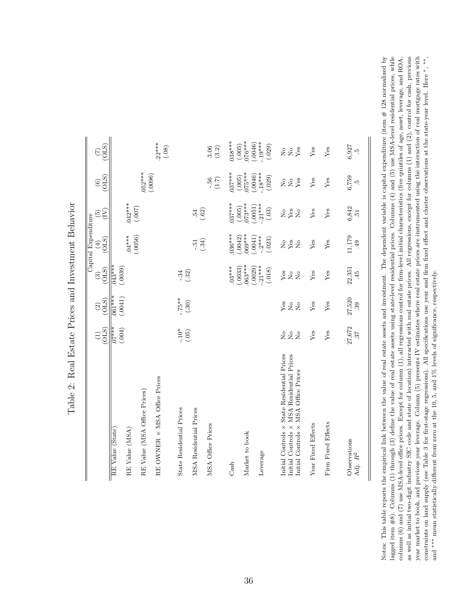|                                                                                                                                                                                                                        |                                                  |                                                                |                                        | Capital Expenditure                                        |                                                                         |                                   |                                                 |
|------------------------------------------------------------------------------------------------------------------------------------------------------------------------------------------------------------------------|--------------------------------------------------|----------------------------------------------------------------|----------------------------------------|------------------------------------------------------------|-------------------------------------------------------------------------|-----------------------------------|-------------------------------------------------|
|                                                                                                                                                                                                                        | (OLS)<br>$\widehat{\Xi}$                         | $\overset{(2)}{\underbrace{\text{OD}}}$                        | (OLS)<br>$\odot$                       | $\begin{pmatrix} 4 \\ 0 \end{pmatrix}$                     | E<br>$\widetilde{\mathbf{e}}$                                           | (OLS)<br>$\odot$                  | (0LS)<br>$\widehat{(\mathcal{I})}$              |
| RE Value (State)                                                                                                                                                                                                       | $+$ ***.<br>(.004)                               | $\frac{1}{(0.0041)}$                                           | $.043***$                              |                                                            |                                                                         |                                   |                                                 |
| RE Value (MSA)                                                                                                                                                                                                         |                                                  |                                                                | (.0039)                                | $.04***$                                                   | $.042***$                                                               |                                   |                                                 |
| RE Value (MSA Office Prices)                                                                                                                                                                                           |                                                  |                                                                |                                        | (.0056)                                                    | (700.)                                                                  | $.052***$                         |                                                 |
| RE OWNER × MSA Office Prices                                                                                                                                                                                           |                                                  |                                                                |                                        |                                                            |                                                                         | (.0096)                           | $.22***$<br>$(.08)$                             |
| State Residential Prices                                                                                                                                                                                               | $-10*$<br>(.05)                                  | $-75**$                                                        | $-33$                                  |                                                            |                                                                         |                                   |                                                 |
| MSA Residential Prices                                                                                                                                                                                                 |                                                  | (.30)                                                          |                                        | $-51$                                                      | $.54$<br>(.62)                                                          |                                   |                                                 |
| MSA Office Prices                                                                                                                                                                                                      |                                                  |                                                                |                                        | (.34)                                                      |                                                                         | - 56<br>$(1.7)$                   | 3.06<br>$(3.2)$                                 |
| Cash                                                                                                                                                                                                                   |                                                  |                                                                | $.03***$                               | $036***$                                                   | $037***$                                                                | $037***$                          | $.038***$                                       |
| Market to book                                                                                                                                                                                                         |                                                  |                                                                | $.063***$<br>(.0033)                   | $.069***$<br>(.0042)                                       | $073***$<br>(.0051)<br>(.005)                                           | $.075***$<br>(.005)               | (.005)                                          |
| Leverage                                                                                                                                                                                                               |                                                  |                                                                | $(.0029)$<br>-.21***<br>(.018)         | $\begin{array}{c} (.0041) \\ -.2*** \\ (.023) \end{array}$ | $-21***$<br>$(.03)$                                                     | $(0.0046)$<br>- $18***$<br>(.029) | $.076***$<br>$(.0046)$<br>$(-19***$<br>$(.029)$ |
| $\begin{minipage}{.4\linewidth} \begin{tabular}{l} Initial Controls \times State Residential Process \\ Initial Controls \times MSA Residential Process \\ Initial Controls \times MSA Office Prices \\ \end{tabular}$ | $_{\rm N_o}$<br>$\overline{R}$<br>$\overline{S}$ | Yes<br>$\stackrel{\circ}{\phantom{}_{\sim}}$<br>$\overline{R}$ | $_{\rm X}^{\rm des}$<br>$\overline{R}$ | $^{10}_{\text{Yes}}$<br>$\overline{S}$                     | $\overset{\circ}{X}{}_{\overset{\circ}{\mathbf{es}}}$<br>$\overline{R}$ | Yes<br>2 g                        | 228                                             |
| Year Fixed Effects                                                                                                                                                                                                     | Yes                                              | Yes                                                            | Yes                                    | Yes                                                        | Yes                                                                     | Yes                               | Yes                                             |
| Firm Fixed Effects                                                                                                                                                                                                     | Yes                                              | Yes                                                            | Yes                                    | Yes                                                        | Yes                                                                     | Yes                               | Yes                                             |
| Observations<br>Adj. $\mathbb{R}^2$                                                                                                                                                                                    | $27,672$ . $37$                                  | $27,520$<br>$.39$                                              | 22,351<br>45                           | 11,179<br>49                                               | $6,842$<br>$.51$                                                        | $6,759$<br>$5,759$                | 6,927<br>ŗÒ,                                    |

Table 2: Real Estate Prices and Investment Behavior Table 2: Real Estate Prices and Investment Behavior Notes: This table reports the empirical link between the value of real estate assets and investment. The dependent variable is capital expenditure (item  $\#$  128 normalized by lagged item  $\#8$ ). Columns (1) through (3) define the value of real estate assets using state-level residential prices. Columns (4) and (5) use MSA-level residential prices, while columns (6) and (7) use MSA-level office prices. Except for column (1), all regressions control for firm-level initial characteristics (five quintiles of age, asset, leverage, and ROA, as well as initial two-digit industry SIC code and state of location) interacted with real estate prices. All regressions, except for columns (1) and (2), control for cash, previous year market to book, and previous year leverage. Column (5) presents IV estimates where real estate prices are instrumented using the interaction of real mortgage rates with constraints on land supply (see Table 3 for first-stage regressions). All specifications use year and firm fixed effect and cluster observations at the state-year level. Here \*, \*\*, Notes: This table reports the empirical link between the value of real estate assets and investment. The dependent variable is capital expenditure (item # 128 normalized by lagged item  $\#8$ ). Columns (1) through (3) define the value of real estate assets using state-level residential prices. Columns (4) and (5) use MSA-level residential prices, while columns (6) and (7) use MSA-level office prices. Except for column (1), all regressions control for firm-level initial characteristics (five quintiles of age, asset, leverage, and ROA, as well as initial two-digit industry SIC code and state of location) interacted with real estate prices. All regressions, except for columns (1) and (2), control for cash, previous year market to book, and previous year leverage. Column (5) presents IV estimates where real estate prices are instrumented using the interaction of real mortgage rates with constraints on land supply (see Table 3 for first-stage regressions). All specifications use year and firm fixed effect and cluster observations at the state-year level. Here <sup>∗, ∗∗</sup>, ∗<sup>∗</sup>, and \*\*\* mean statistically different from zero at the 10, 5, and 1% levels of significance, respectively. and ∗∗∗ mean statistically different from zero at the 10, 5, and 1% levels of significance, respectively.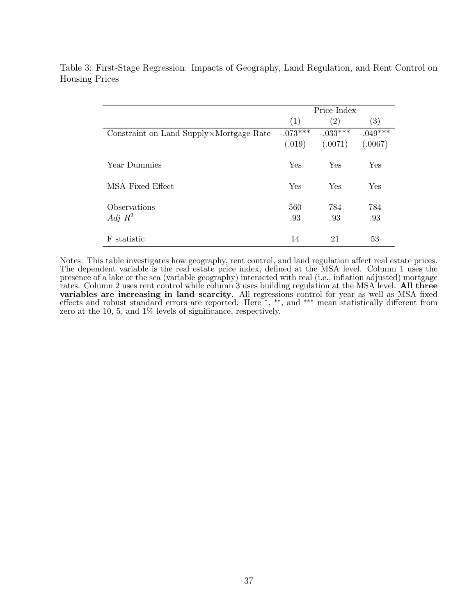|                                         |            | Price Index       |                   |
|-----------------------------------------|------------|-------------------|-------------------|
|                                         | (1)        | $\left( 2\right)$ | $\left( 3\right)$ |
| Constraint on Land Supply×Mortgage Rate | $-.073***$ | $-.033***$        | $-.049***$        |
|                                         | (.019)     | (.0071)           | (.0067)           |
|                                         |            |                   |                   |
| Year Dummies                            | Yes        | Yes               | Yes               |
|                                         |            |                   |                   |
| MSA Fixed Effect                        | Yes        | Yes               | Yes               |
|                                         |            |                   |                   |
| Observations                            | 560        | 784               | 784               |
| Adj $R^2$                               | .93        | .93               | .93               |
|                                         |            |                   |                   |
| statistic<br>F                          | 14         | 21                | 53                |

Table 3: First-Stage Regression: Impacts of Geography, Land Regulation, and Rent Control on Housing Prices

Notes: This table investigates how geography, rent control, and land regulation affect real estate prices. The dependent variable is the real estate price index, defined at the MSA level. Column 1 uses the presence of a lake or the sea (variable geography) interacted with real (i.e., inflation adjusted) mortgage rates. Column 2 uses rent control while column 3 uses building regulation at the MSA level. All three variables are increasing in land scarcity. All regressions control for year as well as MSA fixed effects and robust standard errors are reported. Here \*, \*\*, and \*\*\* mean statistically different from zero at the 10, 5, and 1% levels of significance, respectively.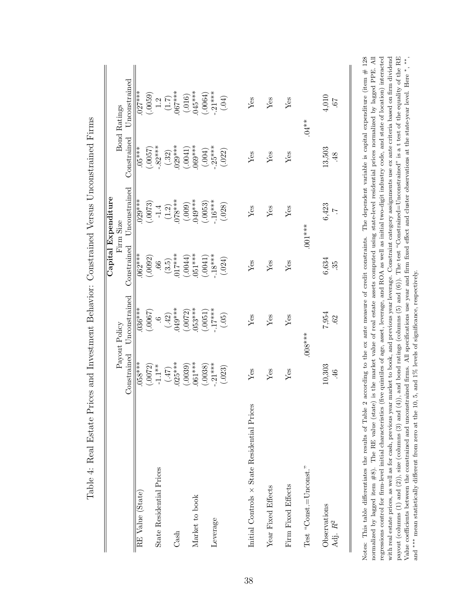|                                             |                      |                                |             | Capital Expenditure               |                       |                                      |
|---------------------------------------------|----------------------|--------------------------------|-------------|-----------------------------------|-----------------------|--------------------------------------|
|                                             | Constrained          | Unconstrained<br>Payout Policy | Constrained | Unconstrained<br>Firm Size        | Constrained           | Unconstrained<br><b>Bond Ratings</b> |
| RE Value (State)                            | $058***$             | $.036***$                      | $.062***$   | $.029***$                         | $3****$               | $.027***$                            |
|                                             | (.0072)              | (.0067)                        | (.0092)     | (.0073)                           | (.0057)               | (.0059)                              |
| State Residential Prices                    | $-1.1**$             |                                | (3.5)       | $-1.4$<br>(1.2)                   |                       |                                      |
|                                             | (47)                 | $\frac{6}{42}$                 |             |                                   | $.82***$<br>(.32)     | $1.2 \over 1.7)$                     |
| $\mathrm{Cash}$                             | $.025***$            | 049***                         | $.017***$   | $***840$ .                        | $029***$              | $067***$                             |
|                                             | (.0039)              | (.0072)                        | (.0044)     | (.009)                            | (.0041)               | (.016)                               |
| Market to book                              | 061***               | $053***$                       | 051***      | 049***                            | $0.069***$            | 045****                              |
|                                             | (.0038)              | (.0051)                        | (.0041)     | $(.0053)$<br>-.16***              | (0.004)               | $(.0064)$<br>$-.21***$               |
| Leverage                                    | $.21***$             | $-17***$                       | $.18***$    |                                   | $.25***$              |                                      |
|                                             | (.023)               | (.05)                          | (.024)      | (.028)                            | (.022)                | (60)                                 |
|                                             |                      |                                |             |                                   |                       |                                      |
| Initial Controls × State Residential Prices | ${\rm Yes}$          | ${\rm Yes}$                    | Yes         | ${\rm Yes}$                       | Yes                   | Yes                                  |
| Year Fixed Effects                          | Yes                  | Yes                            | Yes         | Yes                               | Yes                   | Yes                                  |
|                                             |                      |                                |             |                                   |                       |                                      |
| Firm Fixed Effects                          | Yes                  | Yes                            | Yes         | Yes                               | Yes                   | Yes                                  |
| Test "Const.=Unconst."                      |                      | $008***$                       |             | $.001***$                         |                       | $**10.$                              |
| Observations<br>Adj. R <sup>2</sup>         | 10,303<br>$\ddot{4}$ | 7,954<br>.62                   | 6,634<br>35 | 6,423<br>$\overline{\phantom{0}}$ | 13,503<br>$\ddot{4}8$ | 4,010<br>59.                         |

|                          | <b>Continued in the continued of the continued of the continued of the continued of the continued of the continued of the continued of the continued of the continued of the continued of the continued of the continued of the </b> |
|--------------------------|--------------------------------------------------------------------------------------------------------------------------------------------------------------------------------------------------------------------------------------|
| $\overline{\phantom{a}}$ | I                                                                                                                                                                                                                                    |
|                          |                                                                                                                                                                                                                                      |
|                          |                                                                                                                                                                                                                                      |
|                          | C CHANG 5 10 C<br>$\vdots$                                                                                                                                                                                                           |
|                          |                                                                                                                                                                                                                                      |
| i<br>İ                   |                                                                                                                                                                                                                                      |
|                          | I                                                                                                                                                                                                                                    |
|                          | <b>Contractor</b>                                                                                                                                                                                                                    |
| $\frac{1}{1}$            |                                                                                                                                                                                                                                      |
|                          |                                                                                                                                                                                                                                      |
|                          | $\frac{1}{2}$                                                                                                                                                                                                                        |
|                          | ----------<br>j<br>İ<br>J                                                                                                                                                                                                            |
|                          |                                                                                                                                                                                                                                      |
|                          |                                                                                                                                                                                                                                      |
|                          |                                                                                                                                                                                                                                      |
|                          | <br> <br> <br> <br>                                                                                                                                                                                                                  |
|                          |                                                                                                                                                                                                                                      |
| ĺ                        | ١                                                                                                                                                                                                                                    |
|                          | i<br>I                                                                                                                                                                                                                               |
|                          |                                                                                                                                                                                                                                      |
| I                        | Ì<br>)<br> <br>                                                                                                                                                                                                                      |
|                          | י<br>ו                                                                                                                                                                                                                               |
|                          |                                                                                                                                                                                                                                      |
| $\sqrt{2}$               | $\frac{1}{2}$<br>ł                                                                                                                                                                                                                   |
|                          |                                                                                                                                                                                                                                      |
|                          |                                                                                                                                                                                                                                      |
| <br> <br>                | $\frac{1}{2}$                                                                                                                                                                                                                        |
| ĺ                        | ;<br>}                                                                                                                                                                                                                               |
|                          |                                                                                                                                                                                                                                      |
|                          |                                                                                                                                                                                                                                      |
| ;<br>;                   | $\frac{1}{2}$                                                                                                                                                                                                                        |

 ${}^{\circ}$  $\equiv$ payout (columns (1) and (2)), size (columns (3) and  $(4)$ ), and bond ratings (columns (5) and (6)). The test "Constrained=Unconstrained" is a t test of the equality of the RE Value coefficients between the constrained and unconstrained firms. All specifications use year and firm fixed effect and cluster observations at the state-year level. Here \*, \*\*, regressions control for firm-level initial characteristics (five quintiles of age, asset, leverage, and ROA as well as initial two-digit industry code, and state of location) interacted with real estate prices, as well as for cash, previous year market to book, and previous year leverage. Constraint category assignments use ex ante criteria based on firm dividend Notes: This table differentiates the results of Table 2 according to the ex ante measure of credit constraints. The dependent variable is capital expenditure (item # 128 normalized by lagged item #8). The RE value (state) is the market value of real estate assets computed using state-level residential prices normalized by lagged PPE. All regressions control for firm-level initial characteristics (five quintiles of age, asset, leverage, and ROA as well as initial two-digit industry code, and state of location) interacted with real estate prices, as well as for cash, previous year market to book, and previous year leverage. Constraint category assignments use ex ante criteria based on firm dividend payout (columns (1) and (2)), size (columns (3) and (4)), and bond ratings (columns (5) and (6)). The test "Constrained=Unconstrained" is a t test of the equality of the RE Value coefficients between the constrained and unconstrained firms. All specifications use year and firm fixed effect and cluster observations at the state-year level. Here and \*\*\* mean statistically different from zero at the 10, 5, and 1% levels of significance, respectively. and ∗∗∗ mean statistically different from zero at the 10, 5, and 1% levels of significance, respectively. nor  $\overline{z}$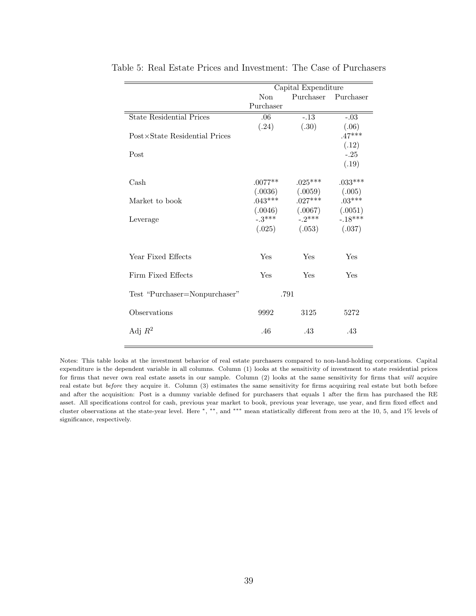|                                 |           | Capital Expenditure |                     |
|---------------------------------|-----------|---------------------|---------------------|
|                                 | Non       |                     | Purchaser Purchaser |
|                                 | Purchaser |                     |                     |
| <b>State Residential Prices</b> | .06       | $-13$               | $-.03$              |
|                                 | (.24)     | (.30)               | (.06)               |
| Post×State Residential Prices   |           |                     | $.47***$            |
|                                 |           |                     | (.12)               |
| Post                            |           |                     | $-.25$              |
|                                 |           |                     | (.19)               |
| Cash                            | $.0077**$ | $.025***$           | $.033***$           |
|                                 | (.0036)   | (.0059)             | (.005)              |
| Market to book                  | $.043***$ | $.027***$           | $.03***$            |
|                                 | (.0046)   | (.0067)             | (.0051)             |
| Leverage                        | $-3***$   | $-2***$             | $-.18***$           |
|                                 | (.025)    | (.053)              | (.037)              |
|                                 |           |                     |                     |
| Year Fixed Effects              | Yes       | Yes                 | Yes                 |
|                                 |           |                     |                     |
| Firm Fixed Effects              | Yes       | Yes                 | Yes                 |
| Test "Purchaser=Nonpurchaser"   |           | .791                |                     |
|                                 |           |                     |                     |
| Observations                    | 9992      | 3125                | 5272                |
| Adj $R^2$                       | .46       | .43                 | .43                 |
|                                 |           |                     |                     |

Table 5: Real Estate Prices and Investment: The Case of Purchasers

Notes: This table looks at the investment behavior of real estate purchasers compared to non-land-holding corporations. Capital expenditure is the dependent variable in all columns. Column (1) looks at the sensitivity of investment to state residential prices for firms that never own real estate assets in our sample. Column (2) looks at the same sensitivity for firms that will acquire real estate but before they acquire it. Column (3) estimates the same sensitivity for firms acquiring real estate but both before and after the acquisition: Post is a dummy variable defined for purchasers that equals 1 after the firm has purchased the RE asset. All specifications control for cash, previous year market to book, previous year leverage, use year, and firm fixed effect and cluster observations at the state-year level. Here <sup>∗</sup>, ∗∗, and ∗∗∗ mean statistically different from zero at the 10, 5, and 1% levels of significance, respectively.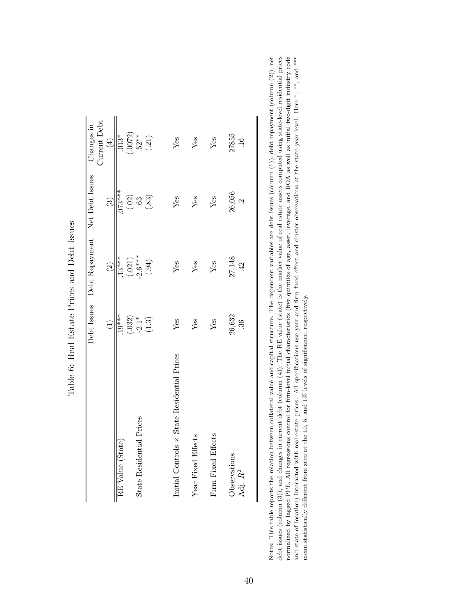|                                             |                                                                       | Debt Issues Debt Repayment Net Debt Issues |                                                                   | <b>Current Debt</b><br>Changes in                        |
|---------------------------------------------|-----------------------------------------------------------------------|--------------------------------------------|-------------------------------------------------------------------|----------------------------------------------------------|
|                                             | $\widehat{\Xi}$                                                       | $\widetilde{c}$                            | $\binom{3}{2}$                                                    | $\left( \pm \right)$                                     |
| RE Value (State)                            | $\frac{19^{***}}{19^{***}}$                                           | $\frac{13***}{13***}$                      | $.073***$                                                         | $013*$                                                   |
|                                             |                                                                       | $(.021)$<br>$-2.6***$                      | $\left( \begin{smallmatrix} .02 \\ .63 \end{smallmatrix} \right)$ |                                                          |
| State Residential Prices                    |                                                                       |                                            |                                                                   |                                                          |
|                                             | $\begin{array}{c} (.032) \\ \text{-}2.1^* \\ \text{-}1.3 \end{array}$ | (.94)                                      | (.83)                                                             | $\begin{array}{c} (.0072) \\ .52** \\ (.21) \end{array}$ |
|                                             |                                                                       |                                            |                                                                   |                                                          |
| Initial Controls × State Residential Prices | Yes                                                                   | $Y$ es                                     | Yes                                                               | Yes                                                      |
| Year Fixed Effects                          | Yes                                                                   | Yes                                        | $Y$ es                                                            | Yes                                                      |
| Firm Fixed Effects                          | $Y$ es                                                                | Yes                                        | Yes                                                               | $Y$ es                                                   |
| Observations<br>Adj. R <sup>2</sup>         | 26,632<br>36                                                          | 27,148<br>42                               | 26,056<br>Ċ                                                       | 27855<br>16                                              |
|                                             |                                                                       |                                            |                                                                   |                                                          |

Table 6: Real Estate Prices and Debt Issues Table 6: Real Estate Prices and Debt Issues

debt issues (column (3)), and changes in current debt (column (4)). The RE value (state) is the market value of real estate assets computed using state-level residential prices normalized by lagged PPE. All regressions control for firm-level initial characteristics (five quintiles of age, asset, leverage, and ROA as well as initial two-digit industry code and state of location) interacted with r Notes: This table reports the relation between collateral value and capital structure. The dependent variables are debt issues (column (1)), debt repayment (column (2)), net Notes: This table reports the relation between collateral value and capital structure. The dependent variables are debt issues (column (1)), debt repayment (column (2)), net debt issues (column (3)), and changes in current debt (column (4)). The RE value (state) is the market value of real estate assets computed using state-level residential prices normalized by lagged PPE. All regressions control for firm-level initial characteristics (five quintiles of age, asset, leverage, and ROA as well as initial two-digit industry code and state of location) interacted with real estate prices. All specifications use year and firm fixed effect and cluster observations at the state-year level. Here \*, \*\* and \*\*\* mean statistically different from zero at the 10, 5, and 1% levels of significance, respectively. mean statistically different from zero at the 10, 5, and 1% levels of significance, respectively.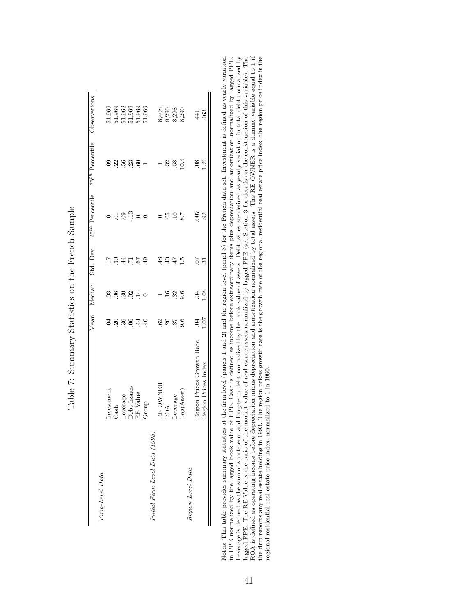|                                |                           |                          | Mean Median     | Std. Dev.      | $25^{th}$ Percentile | 75 <sup>th</sup> Percentile Observations |                |
|--------------------------------|---------------------------|--------------------------|-----------------|----------------|----------------------|------------------------------------------|----------------|
| Firm-Level Data                |                           |                          |                 |                |                      |                                          |                |
|                                | Investment                | Z                        | $\ddot{0}$      | Ξ              |                      | $\overline{6}$                           | 51,969         |
|                                | Cash                      | $\overline{c}$           | $\ddot{\circ}$  | 234            | $\Xi$                | S                                        | 51,969         |
|                                | Leverage                  | 36                       | $\overline{30}$ |                | 09                   | 56                                       | 51,962         |
|                                | Debt Issues               | $\overline{0}$           | $\frac{8}{14}$  | $\frac{2}{17}$ |                      | 23                                       | 51,969         |
|                                | RE Value                  | $\overline{4}$           |                 |                | $-13$                | .60                                      | 51,969         |
|                                | Group                     | $\overline{40}$          | $\circ$         | 49             | $\circ$              |                                          | 51,969         |
| Initial Firm-Level Data (1993) |                           |                          |                 |                |                      |                                          |                |
|                                | RE OWNER                  | $^{62}$                  |                 | 48             | $\circ$              | $\overline{ }$                           |                |
|                                | <b>ROA</b>                | $\overline{.20}$         | $\overline{16}$ | 40             | 05                   | 32                                       | 8,408<br>8,290 |
|                                | Leverage                  | $\overline{\mathcal{E}}$ | 32              | $47\,$         | $\overline{10}$      | .58                                      |                |
|                                | Log(A <sub>sset</sub> )   | 9.6                      | 9.6             | $\frac{5}{10}$ | 8.7                  | 10.4                                     | 8,298<br>8,290 |
| Region-Level Data              |                           |                          |                 |                |                      |                                          |                |
|                                | Region Prices Growth Rate | $\overline{6}$           | 0 <sub>4</sub>  | $-50$          | <b>LOO</b> :         | .08                                      | 441            |
|                                | Region Prices Index       | <b>107</b>               | 0.16            | $\ddot{3}$     | 92                   | 1.23                                     | 463            |

| $\sim$ 100 $\sim$ 100<br>I<br>֖֖֖֧ׅׅׅ֧ׅ֧ׅ֖֧ׅ֖֧ׅ֖֧ׅ֧ׅ֧ׅ֖֧֧ׅ֧ׅ֧֪ׅ֧֚֚֚֚֚֚֚֚֚֚֚֚֚֚֚֚֚֚֚֚֚֚֚֚֚֚֚֚֡֝֝֝֝֬֝֬֝֬֝֬֝֬֓֞֝֬֝֬֝֬֝֬<br>Č |
|---------------------------------------------------------------------------------------------------------------------------|
| ׇ֚֘<br>I<br>ł<br>Ç<br>֚֚֡֡<br>I<br>ļ                                                                                      |
| $\frac{1}{2}$<br>$\vdots$                                                                                                 |
| $\frac{1}{2}$<br>ׇ֚֘֡<br>$\frac{1}{2}$                                                                                    |
| j                                                                                                                         |
| <b>CON CONTRACT</b><br>֘֝֕<br>ׇ֒<br>Č                                                                                     |
| I                                                                                                                         |
| j<br>I                                                                                                                    |

in PPE normalized by the lagged book value of PPE. Cash is defined as income before extraordinary items plus depreciation and amortization normalized by lagged PPE.<br>Leverage is defined as the sum of short-term and long-ter Notes: This table provides summary statistics at the firm level (panels 1 and 2) and the region level (panel 3) for the French data set. Investment is defined as yearly variation ROA is defined as operating income before depreciation minus depreciation and amortization normalized by total assets. The RE OWNER is a dummy variable equal to 1 if Notes: This table provides summary statistics at the firm level (panels 1 and 2) and the region level (panel 3) for the French data set. Investment is defined as yearly variation in PPE normalized by the lagged book value of PPE. Cash is defined as income before extraordinary items plus depreciation and amortization normalized by lagged PPE. Leverage is defined as the sum of short-term and long-term debt normalized by the book value of assets. Debt issues are defined as yearly variation in total debt normalized by lagged PPE. The RE Value is the ratio of the market value of real estate assets normalized by lagged PPE (see Section 3 for details on the construction of this variable). The the firm reports any real estate holding in 1993. The region prices growth rate is the growth rate of the regional residential real estate price index; the region price index is the regional residential real estate price index, normalized to 1 in 1990.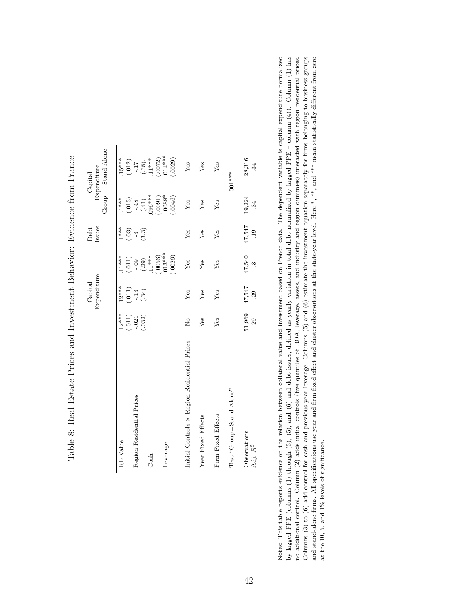|                                              |               | Capital            |                                 | Debt                      |                                   | Capital                                                                  |
|----------------------------------------------|---------------|--------------------|---------------------------------|---------------------------|-----------------------------------|--------------------------------------------------------------------------|
|                                              |               | Expenditure        |                                 | Issues                    | Group                             | <b>Stand Alone</b><br>Expenditure                                        |
|                                              |               |                    |                                 |                           |                                   |                                                                          |
| RE Value                                     | $12***$       | $12***$            | $11***$                         | $***$                     | $1***$                            | $15***$                                                                  |
|                                              | (.011)        | $\frac{(011)}{13}$ | $(\mbox{\bf .011})$             | (.03)                     | (.013)                            |                                                                          |
| Region Residential Prices                    | $-0.021$      |                    | $-0.9$                          | ကု                        |                                   |                                                                          |
| Cash                                         | (.032)        | (.34)              | $(.29)$<br>.11***               | (3.3)                     | $-48$<br>(.41)<br>(.43)<br>096*** | $\begin{array}{c} (.012) \\ -.17 \\ (.38) \\ (.11* \\ +11** \end{array}$ |
|                                              |               |                    | (.0056)                         |                           | (.0091)                           | (.0072)                                                                  |
| Leverage                                     |               |                    | $.013***$<br>(.0026)            |                           | $-.0088*$<br>(.0046)              | $.014***$<br>(.0029)                                                     |
|                                              |               |                    |                                 |                           |                                   |                                                                          |
| Initial Controls × Region Residential Prices | $\frac{1}{2}$ | Yes                | $Y$ es                          | Yes                       | $Y$ es                            | $Y$ es                                                                   |
| Year Fixed Effects                           | Yes           | Yes                | Yes                             | Yes                       | Yes                               | $Y$ es                                                                   |
| Firm Fixed Effects                           | Yes           | Yes                | Yes                             | Yes                       | Yes                               | Yes                                                                      |
| Test "Group=Stand Alone"                     |               |                    |                                 |                           |                                   | $.001***$                                                                |
| Observations<br>Adj. R <sup>2</sup>          | 51,969<br>29  | 47,547<br>29       | 47,540<br>$\tilde{\mathcal{C}}$ | 47,547<br>$\overline{19}$ | 19,224<br>34                      | 28,316<br>34                                                             |
|                                              |               |                    |                                 |                           |                                   |                                                                          |

Table 8: Real Estate Prices and Investment Behavior: Evidence from France Table 8: Real Estate Prices and Investment Behavior: Evidence from France

by lagged PPE (columns (1) through (3), (5), and (6) and debt issues, defined as yearly variation in total debt normalized by lagged PPE – column (4)). Column (1) has no additional control. Column (2) adds initial control Notes: This table reports evidence on the relation between collateral value and investment based on French data. The dependent variable is capital expenditure normalized and stand-alone firms. All specifications use year and firm fixed effect and cluster observations at the state-year level. Here  $*,**$ , and  $***$  mean statistically different from zero Notes: This table reports evidence on the relation between collateral value and investment based on French data. The dependent variable is capital expenditure normalized by lagged PPE (columns (1) through (3), (5), and (6) and debt issues, defined as yearly variation in total debt normalized by lagged PPE – column (4)). Column (1) has no additional control. Column (2) adds initial controls (five quintiles of ROA, leverage, assets, and industry and region dummies) interacted with region residential prices. Columns  $(3)$  to  $(6)$  add control for cash and previous year leverage. Columns  $(5)$  and  $(6)$  estimate the investment equation separately for firms belonging to business groups ∗, ∗∗, and ∗∗∗ mean statistically different from zero and stand-alone firms. All specifications use year and firm fixed effect and cluster observations at the state-year level. Here at the 10, 5, and 1% levels of significance. at the 10, 5, and 1% levels of significance.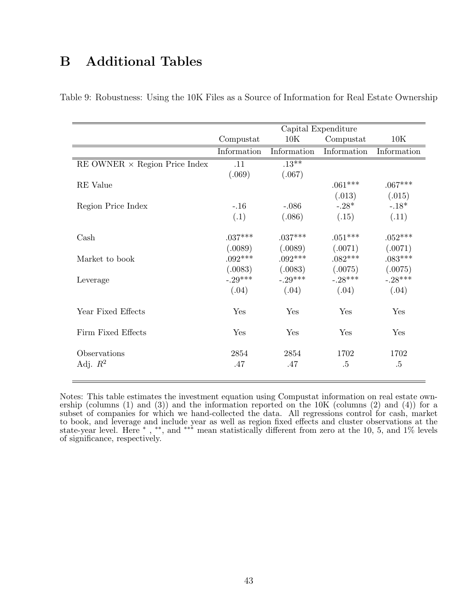# B Additional Tables

|                                      |             |             | Capital Expenditure |             |
|--------------------------------------|-------------|-------------|---------------------|-------------|
|                                      | Compustat   | 10K         | Compustat           | 10K         |
|                                      | Information | Information | Information         | Information |
| RE OWNER $\times$ Region Price Index | .11         | $.13***$    |                     |             |
|                                      | (.069)      | (.067)      |                     |             |
| <b>RE</b> Value                      |             |             | $.061***$           | $.067***$   |
|                                      |             |             | (.013)              | (.015)      |
| Region Price Index                   | $-.16$      | $-.086$     | $-.28*$             | $-.18*$     |
|                                      | (.1)        | (.086)      | (.15)               | (.11)       |
|                                      |             |             |                     |             |
| $\operatorname{Cash}$                | $.037***$   | $.037***$   | $.051***$           | $.052***$   |
|                                      | (.0089)     | (.0089)     | (.0071)             | (.0071)     |
| Market to book                       | $.092***$   | $.092***$   | $.082***$           | $.083***$   |
|                                      | (.0083)     | (.0083)     | (.0075)             | (.0075)     |
| Leverage                             | $-.29***$   | $-.29***$   | $-.28***$           | $-.28***$   |
|                                      | (.04)       | (.04)       | (.04)               | (.04)       |
|                                      |             |             |                     |             |
| Year Fixed Effects                   | Yes         | Yes         | Yes                 | Yes         |
| Firm Fixed Effects                   | Yes         | Yes         | Yes                 | Yes         |
|                                      |             |             |                     |             |
| Observations                         | 2854        | 2854        | 1702                | 1702        |
| Adj. $R^2$                           | .47         | .47         | $.5\,$              | .5          |
|                                      |             |             |                     |             |

Table 9: Robustness: Using the 10K Files as a Source of Information for Real Estate Ownership

Notes: This table estimates the investment equation using Compustat information on real estate ownership (columns (1) and (3)) and the information reported on the 10K (columns (2) and (4)) for a subset of companies for which we hand-collected the data. All regressions control for cash, market to book, and leverage and include year as well as region fixed effects and cluster observations at the state-year level. Here  $*$ ,  $**$ , and  $***$  mean statistically different from zero at the 10, 5, and 1% levels of significance, respectively.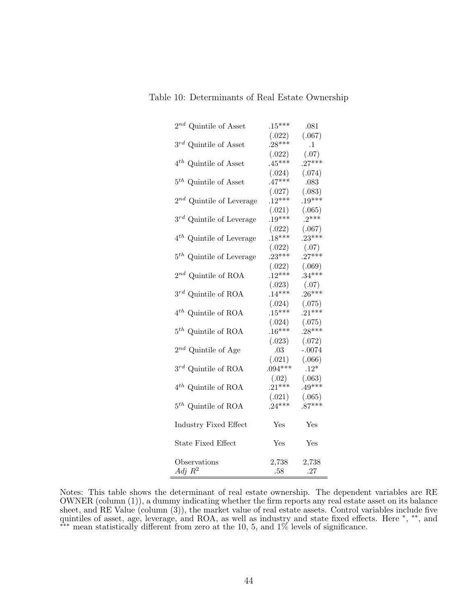| $2^{nd}$ Quintile of Asset      | $.15***$           | .081               |
|---------------------------------|--------------------|--------------------|
|                                 | (.022)             | (.067)             |
| $3^{rd}$ Quintile of Asset      | $.28***$           | $\cdot$ 1          |
|                                 | (.022)             | (.07)              |
| $4^{th}$ Quintile of Asset $\,$ | $.45***$           | $.27***$           |
|                                 | (.024)             | (.074)             |
| $5^{th}$ Quintile of Asset      | $.47***$           | .083               |
|                                 | (.027)             | (.083)             |
| $2^{nd}$ Quintile of Leverage   | $.12***$           | $.19***$           |
|                                 | (.021)             | (.065)             |
| $3^{rd}$ Quintile of Leverage   | $.19***$           | $.2***$            |
|                                 |                    |                    |
|                                 | (.022)<br>$.18***$ | (.067)<br>$.23***$ |
| $4^{th}$ Quintile of Leverage   |                    |                    |
|                                 | (.022)<br>$.23***$ | (.07)<br>$.27***$  |
| $5th$ Quintile of Leverage      |                    |                    |
|                                 | (.022)             | (.069)             |
| $2^{nd}$ Quintile of ROA        | $.12***$           | $.34***$           |
|                                 | (.023)             | (.07)              |
| $3^{rd}$ Quintile of ROA        | $.14***$           | $.26***$           |
|                                 | (.024)             | (.075)             |
| $4^{th}$ Quintile of ROA        | $.15***$           | $.21***$           |
|                                 | (.024)             | (.075)             |
| $5^{th}$ Quintile of ROA        | $.16***$           | $.28***$           |
|                                 | (.023)             | (.072)             |
| $2^{nd}$ Quintile of Age        | .03                | $-.0074$           |
|                                 | (.021)             | (.066)             |
| $3^{rd}$ Quintile of ROA        | $.094***$          | $.12*$             |
|                                 | (.02)              | (.063)             |
| $4^{th}$ Quintile of ROA        | $.21***$           | $.49***$           |
|                                 | (.021)             | (.065)             |
| $5^{th}$ Quintile of ROA        | $.24***$           | $.87***$           |
|                                 |                    |                    |
| Industry Fixed Effect           | Yes                | Yes                |
|                                 |                    |                    |
| <b>State Fixed Effect</b>       | Yes                | Yes                |
|                                 |                    |                    |
| Observations                    | 2,738              | 2,738              |
| Adj $R^2$                       | .58                | .27                |
|                                 |                    |                    |

Table 10: Determinants of Real Estate Ownership

Notes: This table shows the determinant of real estate ownership. The dependent variables are RE OWNER (column (1)), a dummy indicating whether the firm reports any real estate asset on its balance sheet, and RE Value (column (3)), the market value of real estate assets. Control variables include five quintiles of asset, age, leverage, and ROA, as well as industry and state fixed effects. Here <sup>∗</sup> , ∗∗, and ∗∗∗ mean statistically different from zero at the 10, 5, and 1% levels of significance.